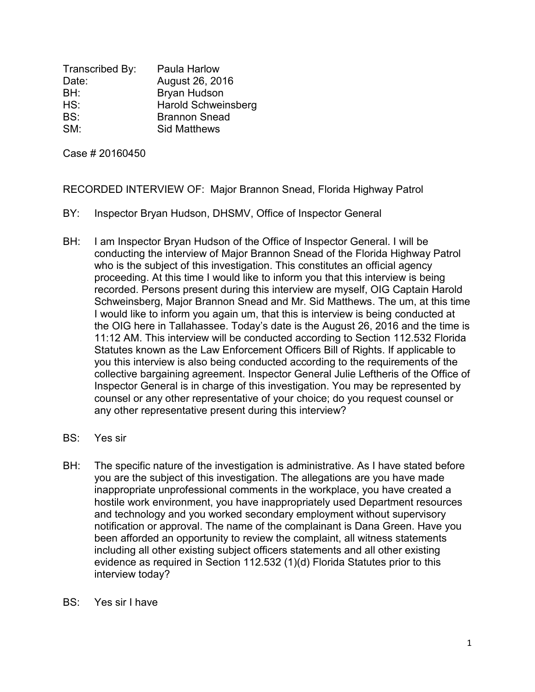Transcribed By: Paula Harlow Date: August 26, 2016 BH: Bryan Hudson HS: Harold Schweinsberg BS: Brannon Snead SM: Sid Matthews

Case # 20160450

RECORDED INTERVIEW OF: Major Brannon Snead, Florida Highway Patrol

- BY: Inspector Bryan Hudson, DHSMV, Office of Inspector General
- BH: I am Inspector Bryan Hudson of the Office of Inspector General. I will be conducting the interview of Major Brannon Snead of the Florida Highway Patrol who is the subject of this investigation. This constitutes an official agency proceeding. At this time I would like to inform you that this interview is being recorded. Persons present during this interview are myself, OIG Captain Harold Schweinsberg, Major Brannon Snead and Mr. Sid Matthews. The um, at this time I would like to inform you again um, that this is interview is being conducted at the OIG here in Tallahassee. Today's date is the August 26, 2016 and the time is 11:12 AM. This interview will be conducted according to Section 112.532 Florida Statutes known as the Law Enforcement Officers Bill of Rights. If applicable to you this interview is also being conducted according to the requirements of the collective bargaining agreement. Inspector General Julie Leftheris of the Office of Inspector General is in charge of this investigation. You may be represented by counsel or any other representative of your choice; do you request counsel or any other representative present during this interview?
- BS: Yes sir
- BH: The specific nature of the investigation is administrative. As I have stated before you are the subject of this investigation. The allegations are you have made inappropriate unprofessional comments in the workplace, you have created a hostile work environment, you have inappropriately used Department resources and technology and you worked secondary employment without supervisory notification or approval. The name of the complainant is Dana Green. Have you been afforded an opportunity to review the complaint, all witness statements including all other existing subject officers statements and all other existing evidence as required in Section 112.532 (1)(d) Florida Statutes prior to this interview today?
- BS: Yes sir I have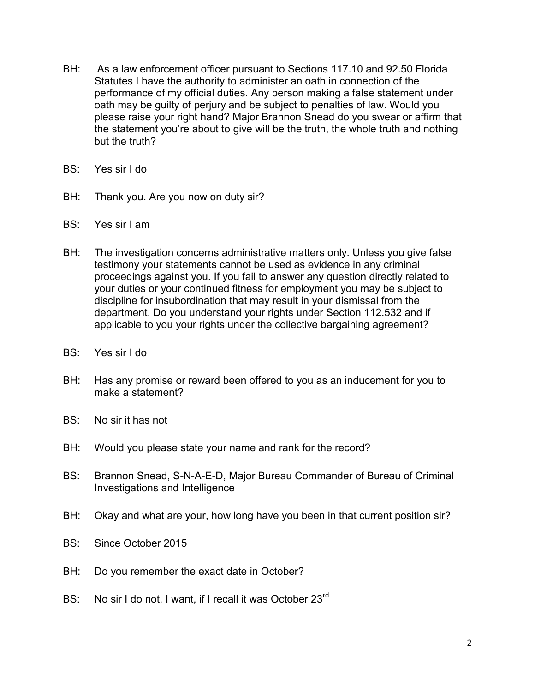- BH: As a law enforcement officer pursuant to Sections 117.10 and 92.50 Florida Statutes I have the authority to administer an oath in connection of the performance of my official duties. Any person making a false statement under oath may be guilty of perjury and be subject to penalties of law. Would you please raise your right hand? Major Brannon Snead do you swear or affirm that the statement you're about to give will be the truth, the whole truth and nothing but the truth?
- BS: Yes sir I do
- BH: Thank you. Are you now on duty sir?
- BS: Yes sir I am
- BH: The investigation concerns administrative matters only. Unless you give false testimony your statements cannot be used as evidence in any criminal proceedings against you. If you fail to answer any question directly related to your duties or your continued fitness for employment you may be subject to discipline for insubordination that may result in your dismissal from the department. Do you understand your rights under Section 112.532 and if applicable to you your rights under the collective bargaining agreement?
- BS: Yes sir I do
- BH: Has any promise or reward been offered to you as an inducement for you to make a statement?
- BS: No sir it has not
- BH: Would you please state your name and rank for the record?
- BS: Brannon Snead, S-N-A-E-D, Major Bureau Commander of Bureau of Criminal Investigations and Intelligence
- BH: Okay and what are your, how long have you been in that current position sir?
- BS: Since October 2015
- BH: Do you remember the exact date in October?
- BS: No sir I do not, I want, if I recall it was October 23<sup>rd</sup>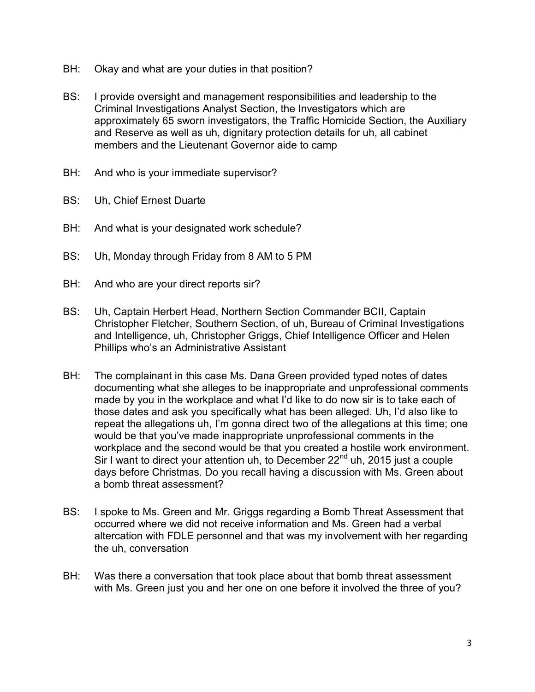- BH: Okay and what are your duties in that position?
- BS: I provide oversight and management responsibilities and leadership to the Criminal Investigations Analyst Section, the Investigators which are approximately 65 sworn investigators, the Traffic Homicide Section, the Auxiliary and Reserve as well as uh, dignitary protection details for uh, all cabinet members and the Lieutenant Governor aide to camp
- BH: And who is your immediate supervisor?
- BS: Uh, Chief Ernest Duarte
- BH: And what is your designated work schedule?
- BS: Uh, Monday through Friday from 8 AM to 5 PM
- BH: And who are your direct reports sir?
- BS: Uh, Captain Herbert Head, Northern Section Commander BCII, Captain Christopher Fletcher, Southern Section, of uh, Bureau of Criminal Investigations and Intelligence, uh, Christopher Griggs, Chief Intelligence Officer and Helen Phillips who's an Administrative Assistant
- BH: The complainant in this case Ms. Dana Green provided typed notes of dates documenting what she alleges to be inappropriate and unprofessional comments made by you in the workplace and what I'd like to do now sir is to take each of those dates and ask you specifically what has been alleged. Uh, I'd also like to repeat the allegations uh, I'm gonna direct two of the allegations at this time; one would be that you've made inappropriate unprofessional comments in the workplace and the second would be that you created a hostile work environment. Sir I want to direct your attention uh, to December  $22<sup>nd</sup>$  uh, 2015 just a couple days before Christmas. Do you recall having a discussion with Ms. Green about a bomb threat assessment?
- BS: I spoke to Ms. Green and Mr. Griggs regarding a Bomb Threat Assessment that occurred where we did not receive information and Ms. Green had a verbal altercation with FDLE personnel and that was my involvement with her regarding the uh, conversation
- BH: Was there a conversation that took place about that bomb threat assessment with Ms. Green just you and her one on one before it involved the three of you?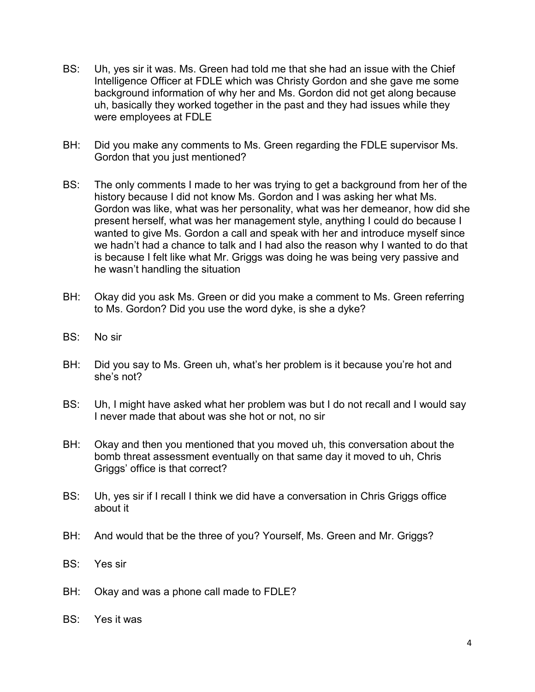- BS: Uh, yes sir it was. Ms. Green had told me that she had an issue with the Chief Intelligence Officer at FDLE which was Christy Gordon and she gave me some background information of why her and Ms. Gordon did not get along because uh, basically they worked together in the past and they had issues while they were employees at FDLE
- BH: Did you make any comments to Ms. Green regarding the FDLE supervisor Ms. Gordon that you just mentioned?
- BS: The only comments I made to her was trying to get a background from her of the history because I did not know Ms. Gordon and I was asking her what Ms. Gordon was like, what was her personality, what was her demeanor, how did she present herself, what was her management style, anything I could do because I wanted to give Ms. Gordon a call and speak with her and introduce myself since we hadn't had a chance to talk and I had also the reason why I wanted to do that is because I felt like what Mr. Griggs was doing he was being very passive and he wasn't handling the situation
- BH: Okay did you ask Ms. Green or did you make a comment to Ms. Green referring to Ms. Gordon? Did you use the word dyke, is she a dyke?
- BS: No sir
- BH: Did you say to Ms. Green uh, what's her problem is it because you're hot and she's not?
- BS: Uh, I might have asked what her problem was but I do not recall and I would say I never made that about was she hot or not, no sir
- BH: Okay and then you mentioned that you moved uh, this conversation about the bomb threat assessment eventually on that same day it moved to uh, Chris Griggs' office is that correct?
- BS: Uh, yes sir if I recall I think we did have a conversation in Chris Griggs office about it
- BH: And would that be the three of you? Yourself, Ms. Green and Mr. Griggs?
- BS: Yes sir
- BH: Okay and was a phone call made to FDLE?
- BS: Yes it was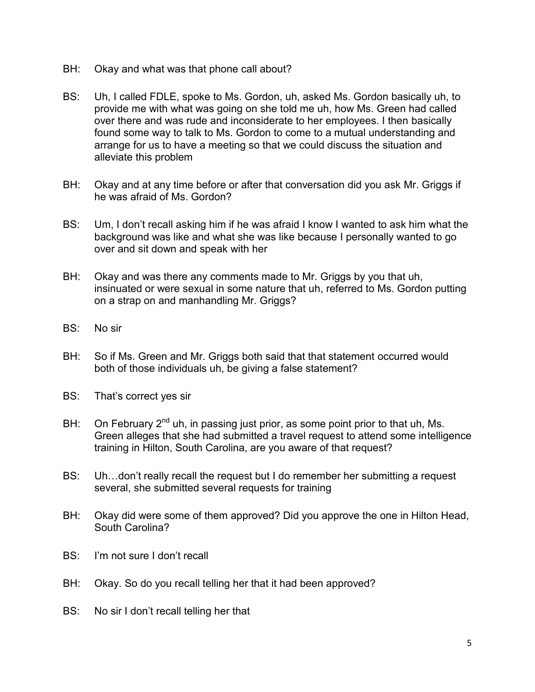- BH: Okay and what was that phone call about?
- BS: Uh, I called FDLE, spoke to Ms. Gordon, uh, asked Ms. Gordon basically uh, to provide me with what was going on she told me uh, how Ms. Green had called over there and was rude and inconsiderate to her employees. I then basically found some way to talk to Ms. Gordon to come to a mutual understanding and arrange for us to have a meeting so that we could discuss the situation and alleviate this problem
- BH: Okay and at any time before or after that conversation did you ask Mr. Griggs if he was afraid of Ms. Gordon?
- BS: Um, I don't recall asking him if he was afraid I know I wanted to ask him what the background was like and what she was like because I personally wanted to go over and sit down and speak with her
- BH: Okay and was there any comments made to Mr. Griggs by you that uh, insinuated or were sexual in some nature that uh, referred to Ms. Gordon putting on a strap on and manhandling Mr. Griggs?
- BS: No sir
- BH: So if Ms. Green and Mr. Griggs both said that that statement occurred would both of those individuals uh, be giving a false statement?
- BS: That's correct yes sir
- BH: On February  $2^{nd}$  uh, in passing just prior, as some point prior to that uh, Ms. Green alleges that she had submitted a travel request to attend some intelligence training in Hilton, South Carolina, are you aware of that request?
- BS: Uh…don't really recall the request but I do remember her submitting a request several, she submitted several requests for training
- BH: Okay did were some of them approved? Did you approve the one in Hilton Head, South Carolina?
- BS: I'm not sure I don't recall
- BH: Okay. So do you recall telling her that it had been approved?
- BS: No sir I don't recall telling her that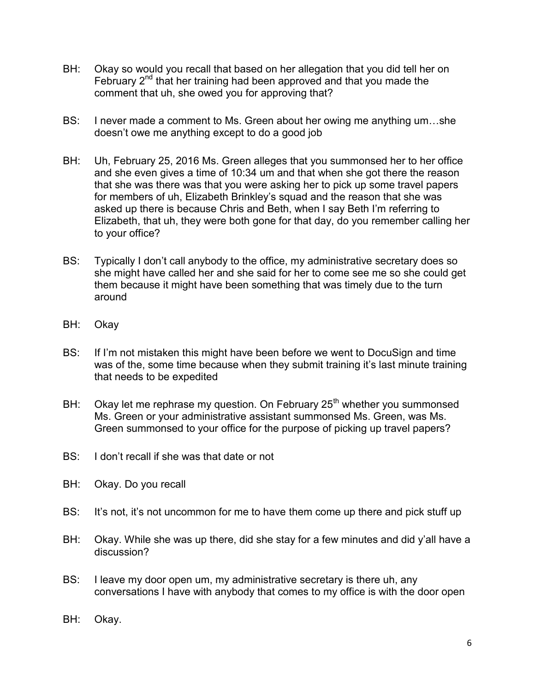- BH: Okay so would you recall that based on her allegation that you did tell her on February  $2^{nd}$  that her training had been approved and that you made the comment that uh, she owed you for approving that?
- BS: I never made a comment to Ms. Green about her owing me anything um…she doesn't owe me anything except to do a good job
- BH: Uh, February 25, 2016 Ms. Green alleges that you summonsed her to her office and she even gives a time of 10:34 um and that when she got there the reason that she was there was that you were asking her to pick up some travel papers for members of uh, Elizabeth Brinkley's squad and the reason that she was asked up there is because Chris and Beth, when I say Beth I'm referring to Elizabeth, that uh, they were both gone for that day, do you remember calling her to your office?
- BS: Typically I don't call anybody to the office, my administrative secretary does so she might have called her and she said for her to come see me so she could get them because it might have been something that was timely due to the turn around
- BH: Okay
- BS: If I'm not mistaken this might have been before we went to DocuSign and time was of the, some time because when they submit training it's last minute training that needs to be expedited
- BH: Okay let me rephrase my question. On February  $25<sup>th</sup>$  whether you summonsed Ms. Green or your administrative assistant summonsed Ms. Green, was Ms. Green summonsed to your office for the purpose of picking up travel papers?
- BS: I don't recall if she was that date or not
- BH: Okay. Do you recall
- BS: It's not, it's not uncommon for me to have them come up there and pick stuff up
- BH: Okay. While she was up there, did she stay for a few minutes and did y'all have a discussion?
- BS: I leave my door open um, my administrative secretary is there uh, any conversations I have with anybody that comes to my office is with the door open
- BH: Okay.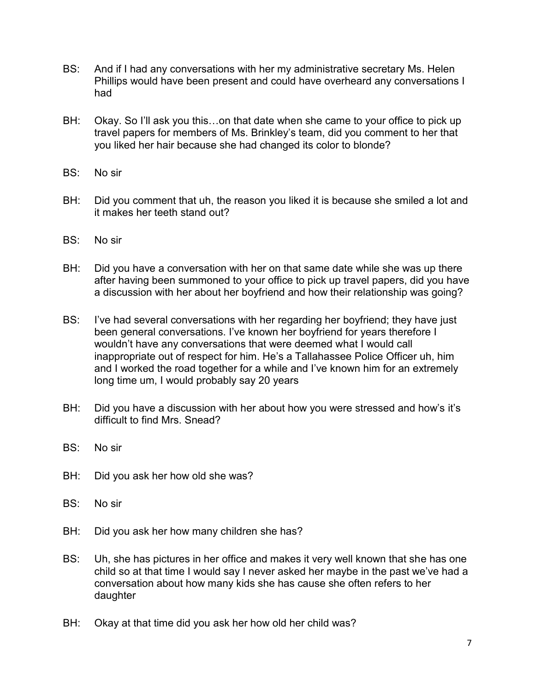- BS: And if I had any conversations with her my administrative secretary Ms. Helen Phillips would have been present and could have overheard any conversations I had
- BH: Okay. So I'll ask you this...on that date when she came to your office to pick up travel papers for members of Ms. Brinkley's team, did you comment to her that you liked her hair because she had changed its color to blonde?
- BS: No sir
- BH: Did you comment that uh, the reason you liked it is because she smiled a lot and it makes her teeth stand out?
- BS: No sir
- BH: Did you have a conversation with her on that same date while she was up there after having been summoned to your office to pick up travel papers, did you have a discussion with her about her boyfriend and how their relationship was going?
- BS: I've had several conversations with her regarding her boyfriend; they have just been general conversations. I've known her boyfriend for years therefore I wouldn't have any conversations that were deemed what I would call inappropriate out of respect for him. He's a Tallahassee Police Officer uh, him and I worked the road together for a while and I've known him for an extremely long time um, I would probably say 20 years
- BH: Did you have a discussion with her about how you were stressed and how's it's difficult to find Mrs. Snead?
- BS: No sir
- BH: Did you ask her how old she was?
- BS: No sir
- BH: Did you ask her how many children she has?
- BS: Uh, she has pictures in her office and makes it very well known that she has one child so at that time I would say I never asked her maybe in the past we've had a conversation about how many kids she has cause she often refers to her daughter
- BH: Okay at that time did you ask her how old her child was?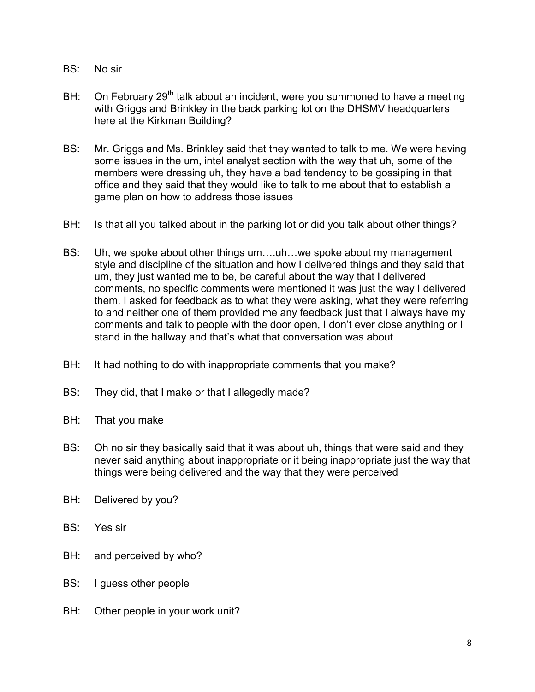- BS: No sir
- BH: On February 29<sup>th</sup> talk about an incident, were you summoned to have a meeting with Griggs and Brinkley in the back parking lot on the DHSMV headquarters here at the Kirkman Building?
- BS: Mr. Griggs and Ms. Brinkley said that they wanted to talk to me. We were having some issues in the um, intel analyst section with the way that uh, some of the members were dressing uh, they have a bad tendency to be gossiping in that office and they said that they would like to talk to me about that to establish a game plan on how to address those issues
- BH: Is that all you talked about in the parking lot or did you talk about other things?
- BS: Uh, we spoke about other things um….uh…we spoke about my management style and discipline of the situation and how I delivered things and they said that um, they just wanted me to be, be careful about the way that I delivered comments, no specific comments were mentioned it was just the way I delivered them. I asked for feedback as to what they were asking, what they were referring to and neither one of them provided me any feedback just that I always have my comments and talk to people with the door open, I don't ever close anything or I stand in the hallway and that's what that conversation was about
- BH: It had nothing to do with inappropriate comments that you make?
- BS: They did, that I make or that I allegedly made?
- BH: That you make
- BS: Oh no sir they basically said that it was about uh, things that were said and they never said anything about inappropriate or it being inappropriate just the way that things were being delivered and the way that they were perceived
- BH: Delivered by you?
- BS: Yes sir
- BH: and perceived by who?
- BS: I guess other people
- BH: Other people in your work unit?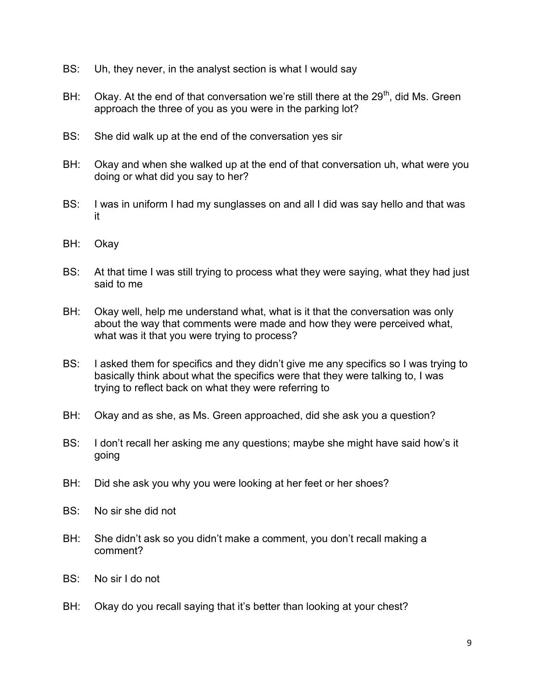- BS: Uh, they never, in the analyst section is what I would say
- BH: Okay. At the end of that conversation we're still there at the  $29<sup>th</sup>$ , did Ms. Green approach the three of you as you were in the parking lot?
- BS: She did walk up at the end of the conversation yes sir
- BH: Okay and when she walked up at the end of that conversation uh, what were you doing or what did you say to her?
- BS: I was in uniform I had my sunglasses on and all I did was say hello and that was it
- BH: Okay
- BS: At that time I was still trying to process what they were saying, what they had just said to me
- BH: Okay well, help me understand what, what is it that the conversation was only about the way that comments were made and how they were perceived what, what was it that you were trying to process?
- BS: I asked them for specifics and they didn't give me any specifics so I was trying to basically think about what the specifics were that they were talking to, I was trying to reflect back on what they were referring to
- BH: Okay and as she, as Ms. Green approached, did she ask you a question?
- BS: I don't recall her asking me any questions; maybe she might have said how's it going
- BH: Did she ask you why you were looking at her feet or her shoes?
- BS: No sir she did not
- BH: She didn't ask so you didn't make a comment, you don't recall making a comment?
- BS: No sir I do not
- BH: Okay do you recall saying that it's better than looking at your chest?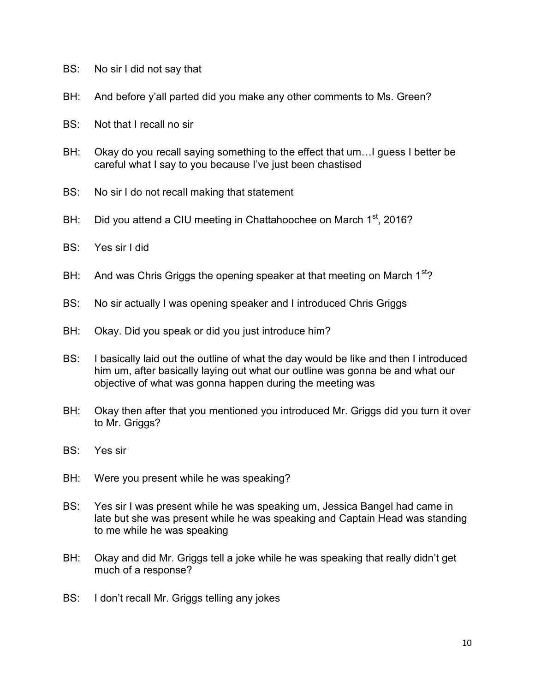- BS: No sir I did not say that
- BH: And before y'all parted did you make any other comments to Ms. Green?
- BS: Not that I recall no sir
- BH: Okay do you recall saying something to the effect that um... I guess I better be careful what I say to you because I've just been chastised
- BS: No sir I do not recall making that statement
- BH: Did you attend a CIU meeting in Chattahoochee on March 1<sup>st</sup>, 2016?
- BS: Yes sir I did
- BH: And was Chris Griggs the opening speaker at that meeting on March  $1<sup>st</sup>$ ?
- BS: No sir actually I was opening speaker and I introduced Chris Griggs
- BH: Okay. Did you speak or did you just introduce him?
- BS: I basically laid out the outline of what the day would be like and then I introduced him um, after basically laying out what our outline was gonna be and what our objective of what was gonna happen during the meeting was
- BH: Okay then after that you mentioned you introduced Mr. Griggs did you turn it over to Mr. Griggs?
- BS: Yes sir
- BH: Were you present while he was speaking?
- BS: Yes sir I was present while he was speaking um, Jessica Bangel had came in late but she was present while he was speaking and Captain Head was standing to me while he was speaking
- BH: Okay and did Mr. Griggs tell a joke while he was speaking that really didn't get much of a response?
- BS: I don't recall Mr. Griggs telling any jokes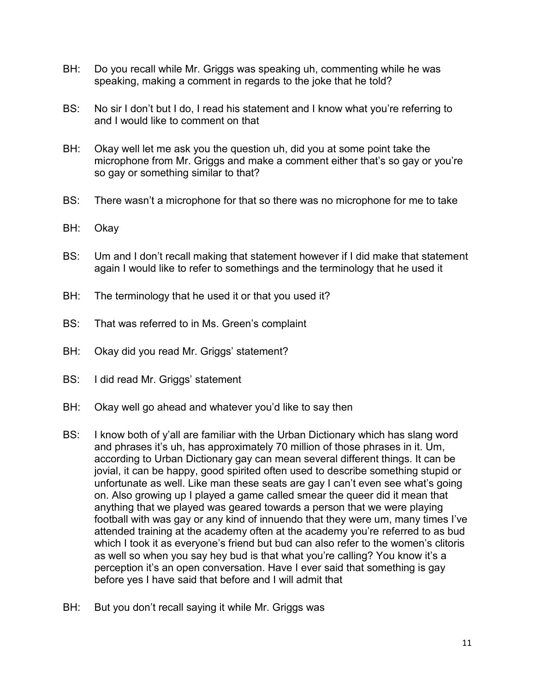- BH: Do you recall while Mr. Griggs was speaking uh, commenting while he was speaking, making a comment in regards to the joke that he told?
- BS: No sir I don't but I do, I read his statement and I know what you're referring to and I would like to comment on that
- BH: Okay well let me ask you the question uh, did you at some point take the microphone from Mr. Griggs and make a comment either that's so gay or you're so gay or something similar to that?
- BS: There wasn't a microphone for that so there was no microphone for me to take
- BH: Okay
- BS: Um and I don't recall making that statement however if I did make that statement again I would like to refer to somethings and the terminology that he used it
- BH: The terminology that he used it or that you used it?
- BS: That was referred to in Ms. Green's complaint
- BH: Okay did you read Mr. Griggs' statement?
- BS: I did read Mr. Griggs' statement
- BH: Okay well go ahead and whatever you'd like to say then
- BS: I know both of y'all are familiar with the Urban Dictionary which has slang word and phrases it's uh, has approximately 70 million of those phrases in it. Um, according to Urban Dictionary gay can mean several different things. It can be jovial, it can be happy, good spirited often used to describe something stupid or unfortunate as well. Like man these seats are gay I can't even see what's going on. Also growing up I played a game called smear the queer did it mean that anything that we played was geared towards a person that we were playing football with was gay or any kind of innuendo that they were um, many times I've attended training at the academy often at the academy you're referred to as bud which I took it as everyone's friend but bud can also refer to the women's clitoris as well so when you say hey bud is that what you're calling? You know it's a perception it's an open conversation. Have I ever said that something is gay before yes I have said that before and I will admit that
- BH: But you don't recall saying it while Mr. Griggs was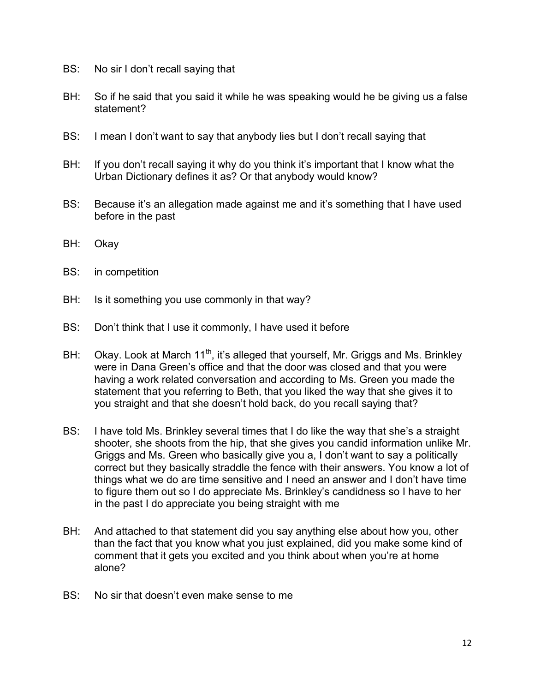- BS: No sir I don't recall saying that
- BH: So if he said that you said it while he was speaking would he be giving us a false statement?
- BS: I mean I don't want to say that anybody lies but I don't recall saying that
- BH: If you don't recall saying it why do you think it's important that I know what the Urban Dictionary defines it as? Or that anybody would know?
- BS: Because it's an allegation made against me and it's something that I have used before in the past
- BH: Okay
- BS: in competition
- BH: Is it something you use commonly in that way?
- BS: Don't think that I use it commonly, I have used it before
- BH: Okay. Look at March  $11^{th}$ , it's alleged that yourself, Mr. Griggs and Ms. Brinkley were in Dana Green's office and that the door was closed and that you were having a work related conversation and according to Ms. Green you made the statement that you referring to Beth, that you liked the way that she gives it to you straight and that she doesn't hold back, do you recall saying that?
- BS: I have told Ms. Brinkley several times that I do like the way that she's a straight shooter, she shoots from the hip, that she gives you candid information unlike Mr. Griggs and Ms. Green who basically give you a, I don't want to say a politically correct but they basically straddle the fence with their answers. You know a lot of things what we do are time sensitive and I need an answer and I don't have time to figure them out so I do appreciate Ms. Brinkley's candidness so I have to her in the past I do appreciate you being straight with me
- BH: And attached to that statement did you say anything else about how you, other than the fact that you know what you just explained, did you make some kind of comment that it gets you excited and you think about when you're at home alone?
- BS: No sir that doesn't even make sense to me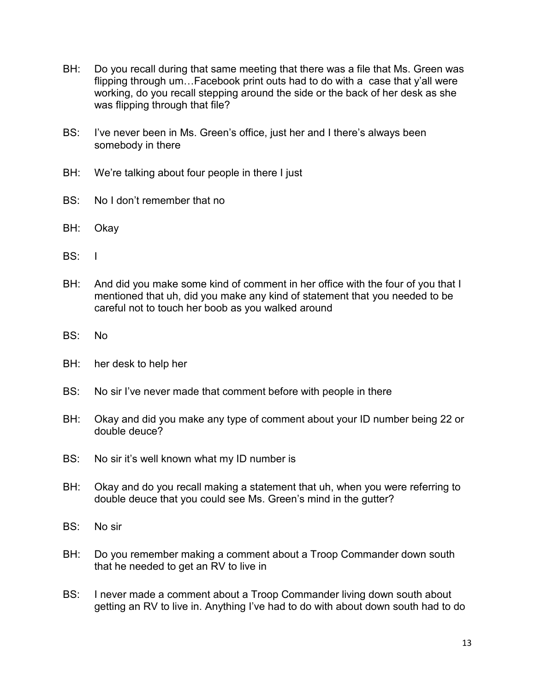- BH: Do you recall during that same meeting that there was a file that Ms. Green was flipping through um…Facebook print outs had to do with a case that y'all were working, do you recall stepping around the side or the back of her desk as she was flipping through that file?
- BS: I've never been in Ms. Green's office, just her and I there's always been somebody in there
- BH: We're talking about four people in there I just
- BS: No I don't remember that no
- BH: Okay
- BS: I
- BH: And did you make some kind of comment in her office with the four of you that I mentioned that uh, did you make any kind of statement that you needed to be careful not to touch her boob as you walked around
- BS: No
- BH: her desk to help her
- BS: No sir I've never made that comment before with people in there
- BH: Okay and did you make any type of comment about your ID number being 22 or double deuce?
- BS: No sir it's well known what my ID number is
- BH: Okay and do you recall making a statement that uh, when you were referring to double deuce that you could see Ms. Green's mind in the gutter?
- BS: No sir
- BH: Do you remember making a comment about a Troop Commander down south that he needed to get an RV to live in
- BS: I never made a comment about a Troop Commander living down south about getting an RV to live in. Anything I've had to do with about down south had to do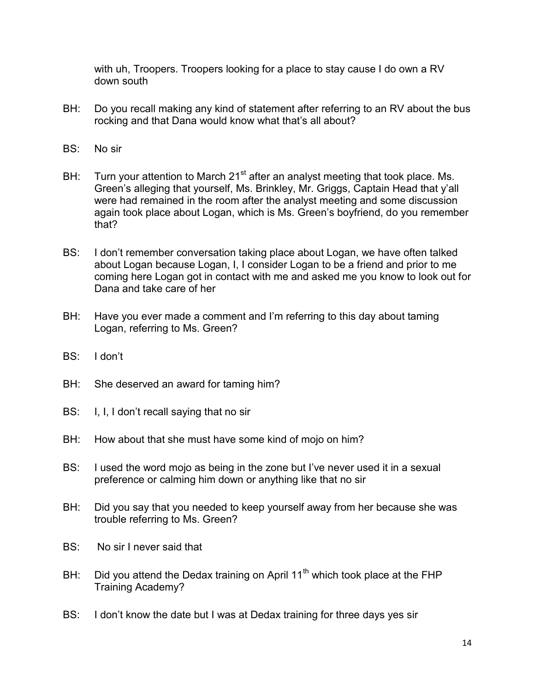with uh, Troopers. Troopers looking for a place to stay cause I do own a RV down south

- BH: Do you recall making any kind of statement after referring to an RV about the bus rocking and that Dana would know what that's all about?
- BS: No sir
- BH: Turn your attention to March  $21<sup>st</sup>$  after an analyst meeting that took place. Ms. Green's alleging that yourself, Ms. Brinkley, Mr. Griggs, Captain Head that y'all were had remained in the room after the analyst meeting and some discussion again took place about Logan, which is Ms. Green's boyfriend, do you remember that?
- BS: I don't remember conversation taking place about Logan, we have often talked about Logan because Logan, I, I consider Logan to be a friend and prior to me coming here Logan got in contact with me and asked me you know to look out for Dana and take care of her
- BH: Have you ever made a comment and I'm referring to this day about taming Logan, referring to Ms. Green?
- BS: I don't
- BH: She deserved an award for taming him?
- BS: I, I, I don't recall saying that no sir
- BH: How about that she must have some kind of mojo on him?
- BS: I used the word mojo as being in the zone but I've never used it in a sexual preference or calming him down or anything like that no sir
- BH: Did you say that you needed to keep yourself away from her because she was trouble referring to Ms. Green?
- BS: No sir I never said that
- BH: Did you attend the Dedax training on April  $11<sup>th</sup>$  which took place at the FHP Training Academy?
- BS: I don't know the date but I was at Dedax training for three days yes sir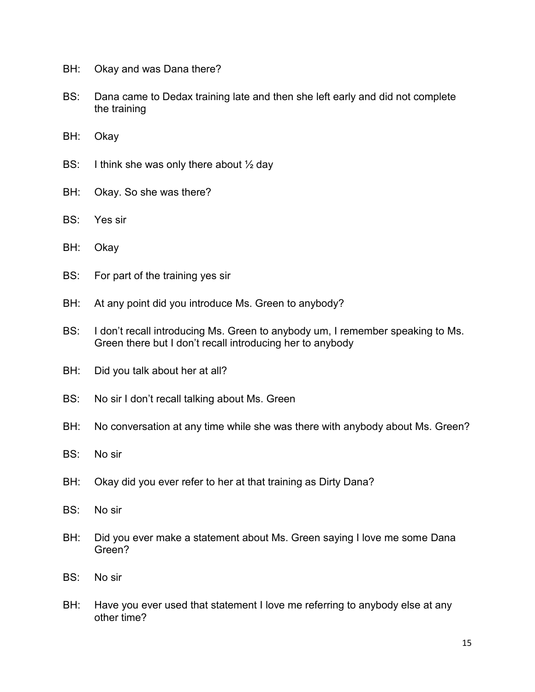- BH: Okay and was Dana there?
- BS: Dana came to Dedax training late and then she left early and did not complete the training
- BH: Okay
- BS: I think she was only there about  $\frac{1}{2}$  day
- BH: Okay. So she was there?
- BS: Yes sir
- BH: Okay
- BS: For part of the training yes sir
- BH: At any point did you introduce Ms. Green to anybody?
- BS: I don't recall introducing Ms. Green to anybody um, I remember speaking to Ms. Green there but I don't recall introducing her to anybody
- BH: Did you talk about her at all?
- BS: No sir I don't recall talking about Ms. Green
- BH: No conversation at any time while she was there with anybody about Ms. Green?
- BS: No sir
- BH: Okay did you ever refer to her at that training as Dirty Dana?
- BS: No sir
- BH: Did you ever make a statement about Ms. Green saying I love me some Dana Green?
- BS: No sir
- BH: Have you ever used that statement I love me referring to anybody else at any other time?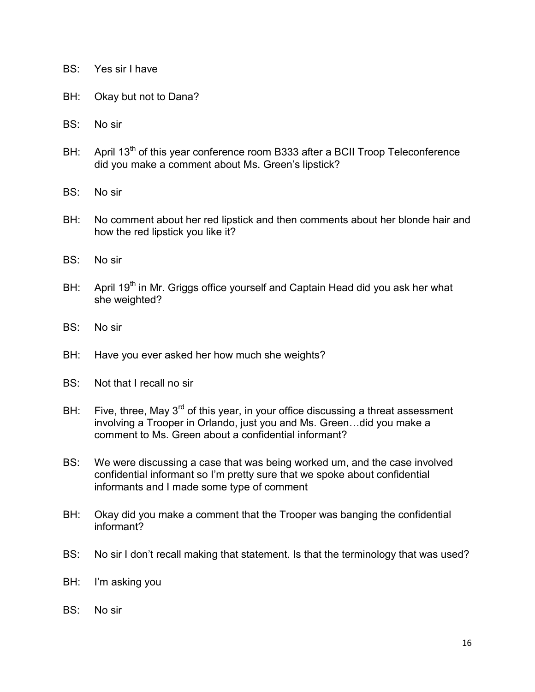- BS: Yes sir I have
- BH: Okay but not to Dana?
- BS: No sir
- BH: April 13<sup>th</sup> of this year conference room B333 after a BCII Troop Teleconference did you make a comment about Ms. Green's lipstick?
- BS: No sir
- BH: No comment about her red lipstick and then comments about her blonde hair and how the red lipstick you like it?
- BS: No sir
- BH: April 19<sup>th</sup> in Mr. Griggs office yourself and Captain Head did you ask her what she weighted?
- BS: No sir
- BH: Have you ever asked her how much she weights?
- BS: Not that I recall no sir
- BH: Five, three, May  $3^{rd}$  of this year, in your office discussing a threat assessment involving a Trooper in Orlando, just you and Ms. Green…did you make a comment to Ms. Green about a confidential informant?
- BS: We were discussing a case that was being worked um, and the case involved confidential informant so I'm pretty sure that we spoke about confidential informants and I made some type of comment
- BH: Okay did you make a comment that the Trooper was banging the confidential informant?
- BS: No sir I don't recall making that statement. Is that the terminology that was used?
- BH: I'm asking you
- BS: No sir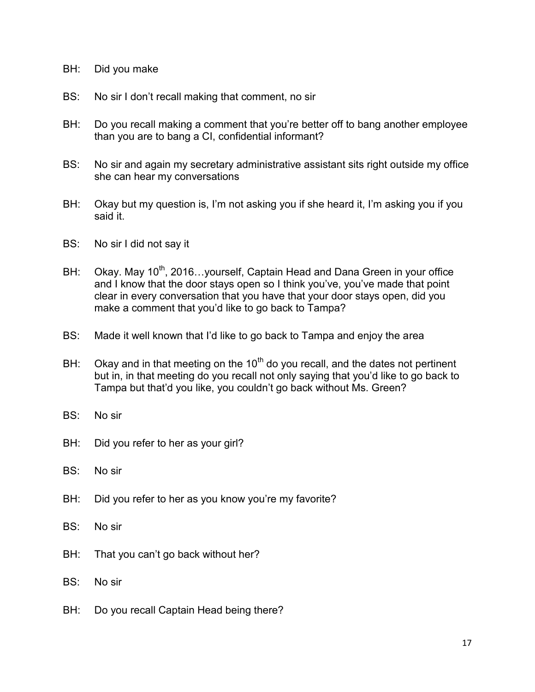- BH: Did you make
- BS: No sir I don't recall making that comment, no sir
- BH: Do you recall making a comment that you're better off to bang another employee than you are to bang a CI, confidential informant?
- BS: No sir and again my secretary administrative assistant sits right outside my office she can hear my conversations
- BH: Okay but my question is, I'm not asking you if she heard it, I'm asking you if you said it.
- BS: No sir I did not say it
- BH: Okay. May 10<sup>th</sup>, 2016... yourself, Captain Head and Dana Green in your office and I know that the door stays open so I think you've, you've made that point clear in every conversation that you have that your door stays open, did you make a comment that you'd like to go back to Tampa?
- BS: Made it well known that I'd like to go back to Tampa and enjoy the area
- BH: Okay and in that meeting on the  $10<sup>th</sup>$  do you recall, and the dates not pertinent but in, in that meeting do you recall not only saying that you'd like to go back to Tampa but that'd you like, you couldn't go back without Ms. Green?
- BS: No sir
- BH: Did you refer to her as your girl?
- BS: No sir
- BH: Did you refer to her as you know you're my favorite?
- BS: No sir
- BH: That you can't go back without her?
- BS: No sir
- BH: Do you recall Captain Head being there?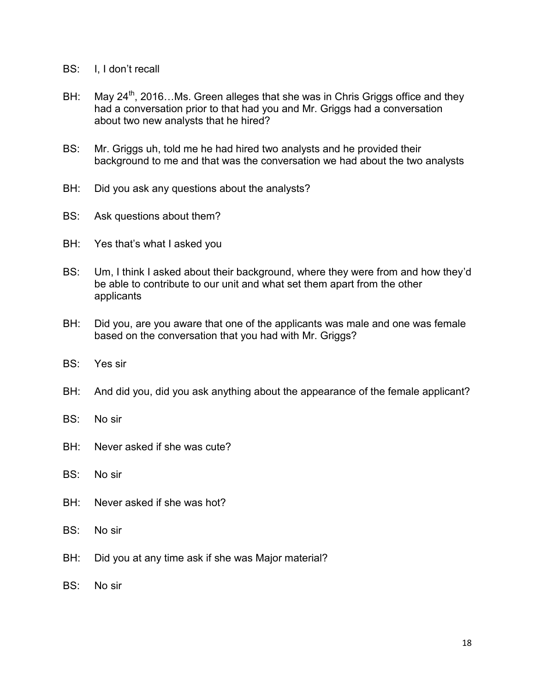- BS: I, I don't recall
- BH: May  $24^{th}$ , 2016...Ms. Green alleges that she was in Chris Griggs office and they had a conversation prior to that had you and Mr. Griggs had a conversation about two new analysts that he hired?
- BS: Mr. Griggs uh, told me he had hired two analysts and he provided their background to me and that was the conversation we had about the two analysts
- BH: Did you ask any questions about the analysts?
- BS: Ask questions about them?
- BH: Yes that's what I asked you
- BS: Um, I think I asked about their background, where they were from and how they'd be able to contribute to our unit and what set them apart from the other applicants
- BH: Did you, are you aware that one of the applicants was male and one was female based on the conversation that you had with Mr. Griggs?
- BS: Yes sir
- BH: And did you, did you ask anything about the appearance of the female applicant?

## BS: No sir

- BH: Never asked if she was cute?
- BS: No sir
- BH: Never asked if she was hot?
- BS: No sir
- BH: Did you at any time ask if she was Major material?
- BS: No sir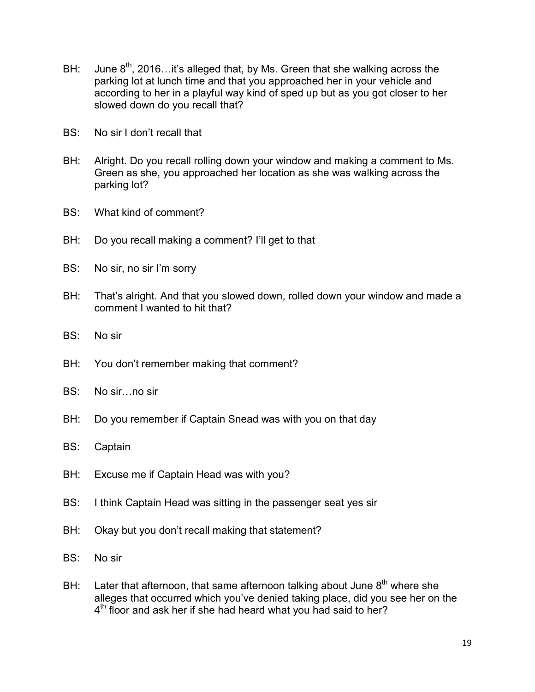- BH: June  $8<sup>th</sup>$ , 2016... it's alleged that, by Ms. Green that she walking across the parking lot at lunch time and that you approached her in your vehicle and according to her in a playful way kind of sped up but as you got closer to her slowed down do you recall that?
- BS: No sir I don't recall that
- BH: Alright. Do you recall rolling down your window and making a comment to Ms. Green as she, you approached her location as she was walking across the parking lot?
- BS: What kind of comment?
- BH: Do you recall making a comment? I'll get to that
- BS: No sir, no sir I'm sorry
- BH: That's alright. And that you slowed down, rolled down your window and made a comment I wanted to hit that?
- BS: No sir
- BH: You don't remember making that comment?
- BS: No sir…no sir
- BH: Do you remember if Captain Snead was with you on that day
- BS: Captain
- BH: Excuse me if Captain Head was with you?
- BS: I think Captain Head was sitting in the passenger seat yes sir
- BH: Okay but you don't recall making that statement?
- BS: No sir
- BH: Later that afternoon, that same afternoon talking about June  $8<sup>th</sup>$  where she alleges that occurred which you've denied taking place, did you see her on the 4<sup>th</sup> floor and ask her if she had heard what you had said to her?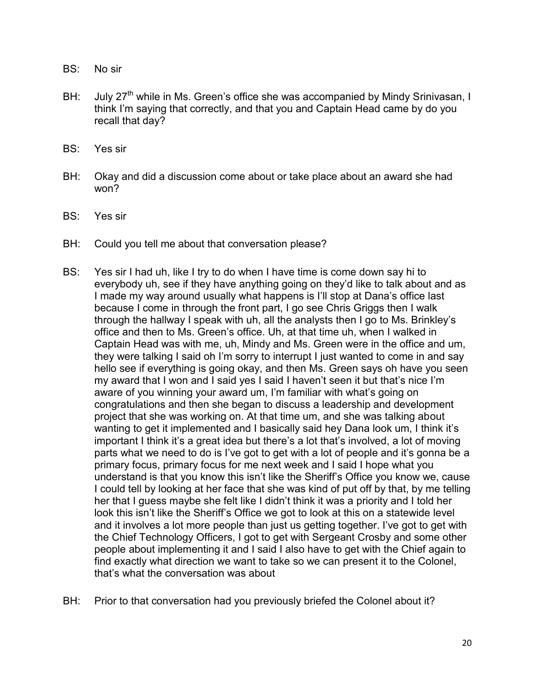- BS: No sir
- BH: July 27<sup>th</sup> while in Ms. Green's office she was accompanied by Mindy Srinivasan, I think I'm saying that correctly, and that you and Captain Head came by do you recall that day?
- BS: Yes sir
- BH: Okay and did a discussion come about or take place about an award she had won?
- BS: Yes sir
- BH: Could you tell me about that conversation please?
- BS: Yes sir I had uh, like I try to do when I have time is come down say hi to everybody uh, see if they have anything going on they'd like to talk about and as I made my way around usually what happens is I'll stop at Dana's office last because I come in through the front part, I go see Chris Griggs then I walk through the hallway I speak with uh, all the analysts then I go to Ms. Brinkley's office and then to Ms. Green's office. Uh, at that time uh, when I walked in Captain Head was with me, uh, Mindy and Ms. Green were in the office and um, they were talking I said oh I'm sorry to interrupt I just wanted to come in and say hello see if everything is going okay, and then Ms. Green says oh have you seen my award that I won and I said yes I said I haven't seen it but that's nice I'm aware of you winning your award um, I'm familiar with what's going on congratulations and then she began to discuss a leadership and development project that she was working on. At that time um, and she was talking about wanting to get it implemented and I basically said hey Dana look um, I think it's important I think it's a great idea but there's a lot that's involved, a lot of moving parts what we need to do is I've got to get with a lot of people and it's gonna be a primary focus, primary focus for me next week and I said I hope what you understand is that you know this isn't like the Sheriff's Office you know we, cause I could tell by looking at her face that she was kind of put off by that, by me telling her that I guess maybe she felt like I didn't think it was a priority and I told her look this isn't like the Sheriff's Office we got to look at this on a statewide level and it involves a lot more people than just us getting together. I've got to get with the Chief Technology Officers, I got to get with Sergeant Crosby and some other people about implementing it and I said I also have to get with the Chief again to find exactly what direction we want to take so we can present it to the Colonel, that's what the conversation was about
- BH: Prior to that conversation had you previously briefed the Colonel about it?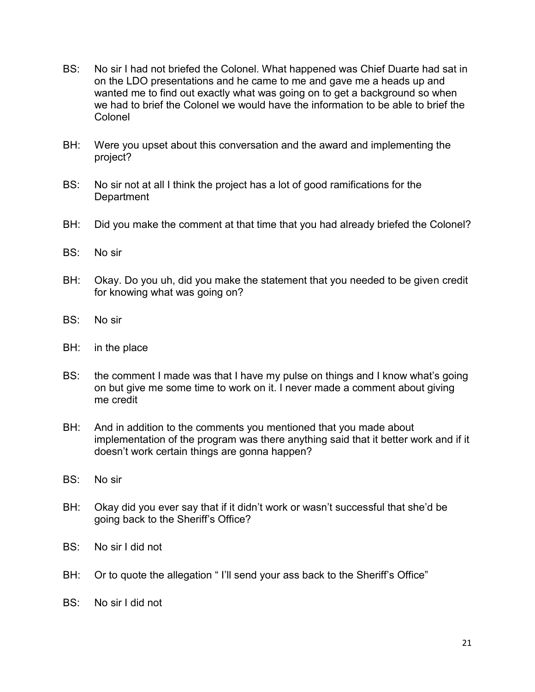- BS: No sir I had not briefed the Colonel. What happened was Chief Duarte had sat in on the LDO presentations and he came to me and gave me a heads up and wanted me to find out exactly what was going on to get a background so when we had to brief the Colonel we would have the information to be able to brief the Colonel
- BH: Were you upset about this conversation and the award and implementing the project?
- BS: No sir not at all I think the project has a lot of good ramifications for the **Department**
- BH: Did you make the comment at that time that you had already briefed the Colonel?
- BS: No sir
- BH: Okay. Do you uh, did you make the statement that you needed to be given credit for knowing what was going on?
- BS: No sir
- BH: in the place
- BS: the comment I made was that I have my pulse on things and I know what's going on but give me some time to work on it. I never made a comment about giving me credit
- BH: And in addition to the comments you mentioned that you made about implementation of the program was there anything said that it better work and if it doesn't work certain things are gonna happen?
- BS: No sir
- BH: Okay did you ever say that if it didn't work or wasn't successful that she'd be going back to the Sheriff's Office?
- BS: No sir I did not
- BH: Or to quote the allegation "I'll send your ass back to the Sheriff's Office"
- BS: No sir I did not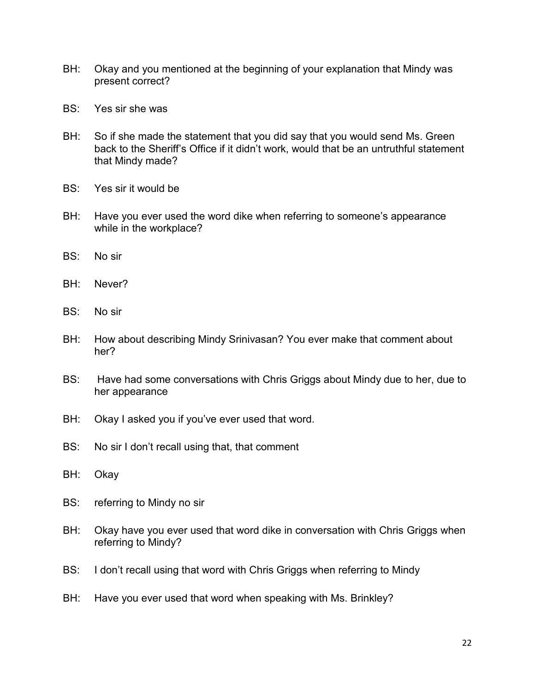- BH: Okay and you mentioned at the beginning of your explanation that Mindy was present correct?
- BS: Yes sir she was
- BH: So if she made the statement that you did say that you would send Ms. Green back to the Sheriff's Office if it didn't work, would that be an untruthful statement that Mindy made?
- BS: Yes sir it would be
- BH: Have you ever used the word dike when referring to someone's appearance while in the workplace?
- BS: No sir
- BH: Never?
- BS: No sir
- BH: How about describing Mindy Srinivasan? You ever make that comment about her?
- BS: Have had some conversations with Chris Griggs about Mindy due to her, due to her appearance
- BH: Okay I asked you if you've ever used that word.
- BS: No sir I don't recall using that, that comment
- BH: Okay
- BS: referring to Mindy no sir
- BH: Okay have you ever used that word dike in conversation with Chris Griggs when referring to Mindy?
- BS: I don't recall using that word with Chris Griggs when referring to Mindy
- BH: Have you ever used that word when speaking with Ms. Brinkley?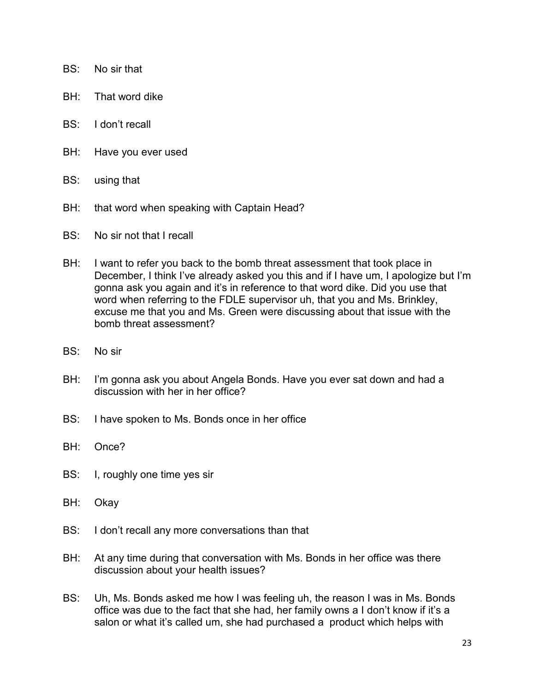- BS: No sir that
- BH: That word dike
- BS: I don't recall
- BH: Have you ever used
- BS: using that
- BH: that word when speaking with Captain Head?
- BS: No sir not that I recall
- BH: I want to refer you back to the bomb threat assessment that took place in December, I think I've already asked you this and if I have um, I apologize but I'm gonna ask you again and it's in reference to that word dike. Did you use that word when referring to the FDLE supervisor uh, that you and Ms. Brinkley, excuse me that you and Ms. Green were discussing about that issue with the bomb threat assessment?
- BS: No sir
- BH: I'm gonna ask you about Angela Bonds. Have you ever sat down and had a discussion with her in her office?
- BS: I have spoken to Ms. Bonds once in her office
- BH: Once?
- BS: I, roughly one time yes sir
- BH: Okay
- BS: I don't recall any more conversations than that
- BH: At any time during that conversation with Ms. Bonds in her office was there discussion about your health issues?
- BS: Uh, Ms. Bonds asked me how I was feeling uh, the reason I was in Ms. Bonds office was due to the fact that she had, her family owns a I don't know if it's a salon or what it's called um, she had purchased a product which helps with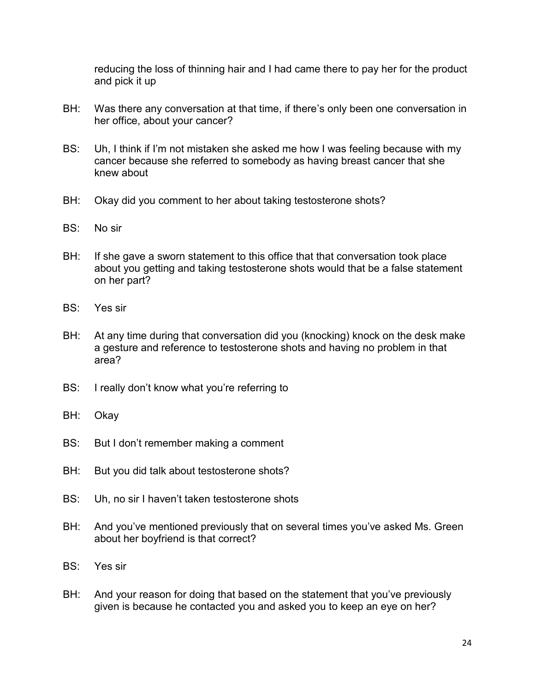reducing the loss of thinning hair and I had came there to pay her for the product and pick it up

- BH: Was there any conversation at that time, if there's only been one conversation in her office, about your cancer?
- BS: Uh, I think if I'm not mistaken she asked me how I was feeling because with my cancer because she referred to somebody as having breast cancer that she knew about
- BH: Okay did you comment to her about taking testosterone shots?
- BS: No sir
- BH: If she gave a sworn statement to this office that that conversation took place about you getting and taking testosterone shots would that be a false statement on her part?
- BS: Yes sir
- BH: At any time during that conversation did you (knocking) knock on the desk make a gesture and reference to testosterone shots and having no problem in that area?
- BS: I really don't know what you're referring to
- BH: Okay
- BS: But I don't remember making a comment
- BH: But you did talk about testosterone shots?
- BS: Uh, no sir I haven't taken testosterone shots
- BH: And you've mentioned previously that on several times you've asked Ms. Green about her boyfriend is that correct?
- BS: Yes sir
- BH: And your reason for doing that based on the statement that you've previously given is because he contacted you and asked you to keep an eye on her?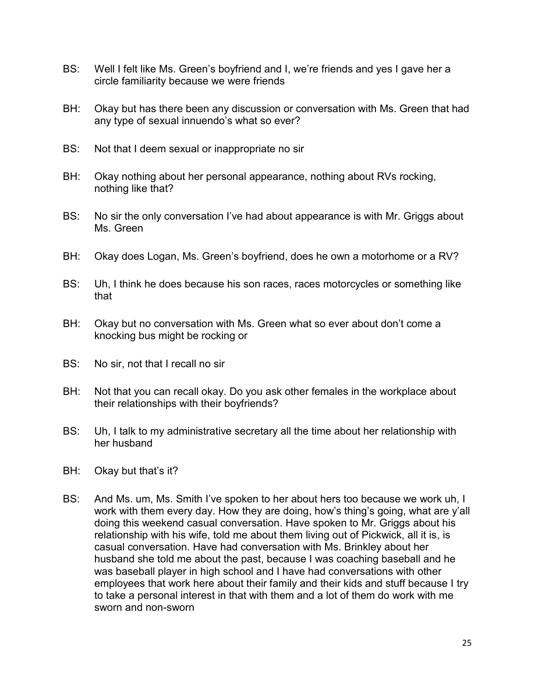- BS: Well I felt like Ms. Green's boyfriend and I, we're friends and yes I gave her a circle familiarity because we were friends
- BH: Okay but has there been any discussion or conversation with Ms. Green that had any type of sexual innuendo's what so ever?
- BS: Not that I deem sexual or inappropriate no sir
- BH: Okay nothing about her personal appearance, nothing about RVs rocking, nothing like that?
- BS: No sir the only conversation I've had about appearance is with Mr. Griggs about Ms. Green
- BH: Okay does Logan, Ms. Green's boyfriend, does he own a motorhome or a RV?
- BS: Uh, I think he does because his son races, races motorcycles or something like that
- BH: Okay but no conversation with Ms. Green what so ever about don't come a knocking bus might be rocking or
- BS: No sir, not that I recall no sir
- BH: Not that you can recall okay. Do you ask other females in the workplace about their relationships with their boyfriends?
- BS: Uh, I talk to my administrative secretary all the time about her relationship with her husband
- BH: Okay but that's it?
- BS: And Ms. um, Ms. Smith I've spoken to her about hers too because we work uh, I work with them every day. How they are doing, how's thing's going, what are y'all doing this weekend casual conversation. Have spoken to Mr. Griggs about his relationship with his wife, told me about them living out of Pickwick, all it is, is casual conversation. Have had conversation with Ms. Brinkley about her husband she told me about the past, because I was coaching baseball and he was baseball player in high school and I have had conversations with other employees that work here about their family and their kids and stuff because I try to take a personal interest in that with them and a lot of them do work with me sworn and non-sworn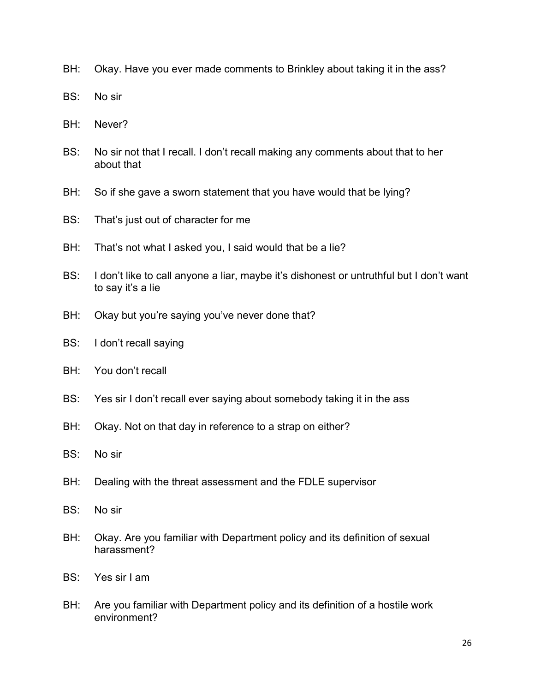- BH: Okay. Have you ever made comments to Brinkley about taking it in the ass?
- BS: No sir
- BH: Never?
- BS: No sir not that I recall. I don't recall making any comments about that to her about that
- BH: So if she gave a sworn statement that you have would that be lying?
- BS: That's just out of character for me
- BH: That's not what I asked you, I said would that be a lie?
- BS: I don't like to call anyone a liar, maybe it's dishonest or untruthful but I don't want to say it's a lie
- BH: Okay but you're saying you've never done that?
- BS: I don't recall saying
- BH: You don't recall
- BS: Yes sir I don't recall ever saying about somebody taking it in the ass
- BH: Okay. Not on that day in reference to a strap on either?
- BS: No sir
- BH: Dealing with the threat assessment and the FDLE supervisor
- BS: No sir
- BH: Okay. Are you familiar with Department policy and its definition of sexual harassment?
- BS: Yes sir I am
- BH: Are you familiar with Department policy and its definition of a hostile work environment?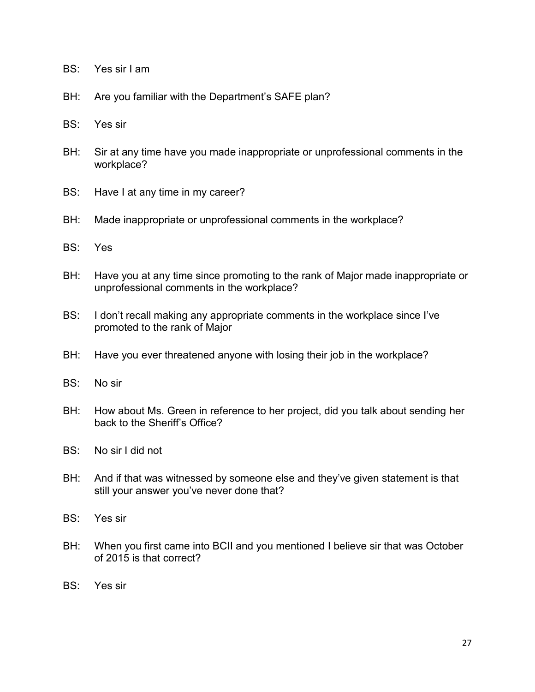- BS: Yes sir I am
- BH: Are you familiar with the Department's SAFE plan?
- BS: Yes sir
- BH: Sir at any time have you made inappropriate or unprofessional comments in the workplace?
- BS: Have I at any time in my career?
- BH: Made inappropriate or unprofessional comments in the workplace?
- BS: Yes
- BH: Have you at any time since promoting to the rank of Major made inappropriate or unprofessional comments in the workplace?
- BS: I don't recall making any appropriate comments in the workplace since I've promoted to the rank of Major
- BH: Have you ever threatened anyone with losing their job in the workplace?
- BS: No sir
- BH: How about Ms. Green in reference to her project, did you talk about sending her back to the Sheriff's Office?
- BS: No sir I did not
- BH: And if that was witnessed by someone else and they've given statement is that still your answer you've never done that?
- BS: Yes sir
- BH: When you first came into BCII and you mentioned I believe sir that was October of 2015 is that correct?
- BS: Yes sir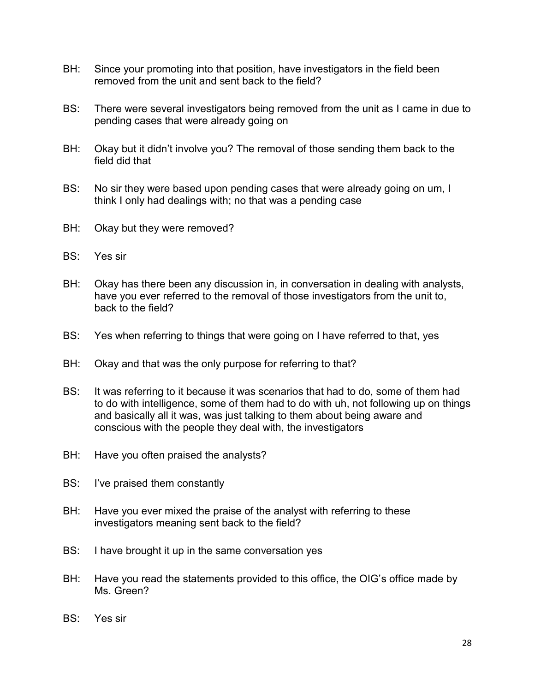- BH: Since your promoting into that position, have investigators in the field been removed from the unit and sent back to the field?
- BS: There were several investigators being removed from the unit as I came in due to pending cases that were already going on
- BH: Okay but it didn't involve you? The removal of those sending them back to the field did that
- BS: No sir they were based upon pending cases that were already going on um, I think I only had dealings with; no that was a pending case
- BH: Okay but they were removed?
- BS: Yes sir
- BH: Okay has there been any discussion in, in conversation in dealing with analysts, have you ever referred to the removal of those investigators from the unit to, back to the field?
- BS: Yes when referring to things that were going on I have referred to that, yes
- BH: Okay and that was the only purpose for referring to that?
- BS: It was referring to it because it was scenarios that had to do, some of them had to do with intelligence, some of them had to do with uh, not following up on things and basically all it was, was just talking to them about being aware and conscious with the people they deal with, the investigators
- BH: Have you often praised the analysts?
- BS: I've praised them constantly
- BH: Have you ever mixed the praise of the analyst with referring to these investigators meaning sent back to the field?
- BS: I have brought it up in the same conversation yes
- BH: Have you read the statements provided to this office, the OIG's office made by Ms. Green?
- BS: Yes sir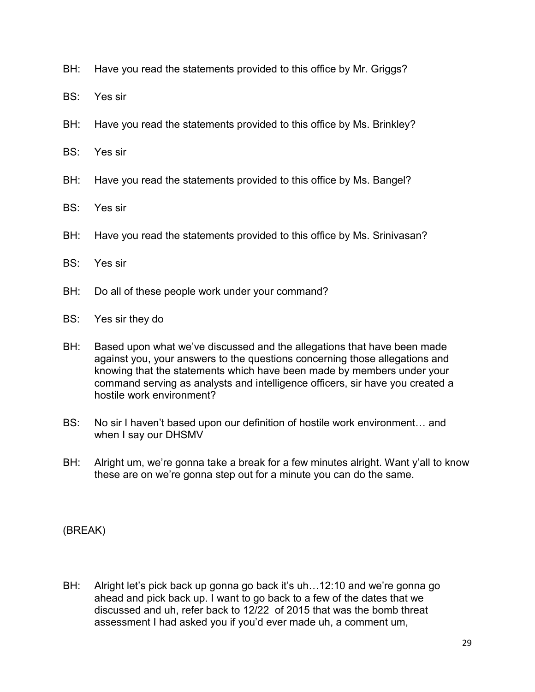- BH: Have you read the statements provided to this office by Mr. Griggs?
- BS: Yes sir
- BH: Have you read the statements provided to this office by Ms. Brinkley?
- BS: Yes sir
- BH: Have you read the statements provided to this office by Ms. Bangel?
- BS: Yes sir
- BH: Have you read the statements provided to this office by Ms. Srinivasan?
- BS: Yes sir
- BH: Do all of these people work under your command?
- BS: Yes sir they do
- BH: Based upon what we've discussed and the allegations that have been made against you, your answers to the questions concerning those allegations and knowing that the statements which have been made by members under your command serving as analysts and intelligence officers, sir have you created a hostile work environment?
- BS: No sir I haven't based upon our definition of hostile work environment… and when I say our DHSMV
- BH: Alright um, we're gonna take a break for a few minutes alright. Want y'all to know these are on we're gonna step out for a minute you can do the same.

(BREAK)

BH: Alright let's pick back up gonna go back it's uh...12:10 and we're gonna go ahead and pick back up. I want to go back to a few of the dates that we discussed and uh, refer back to 12/22 of 2015 that was the bomb threat assessment I had asked you if you'd ever made uh, a comment um,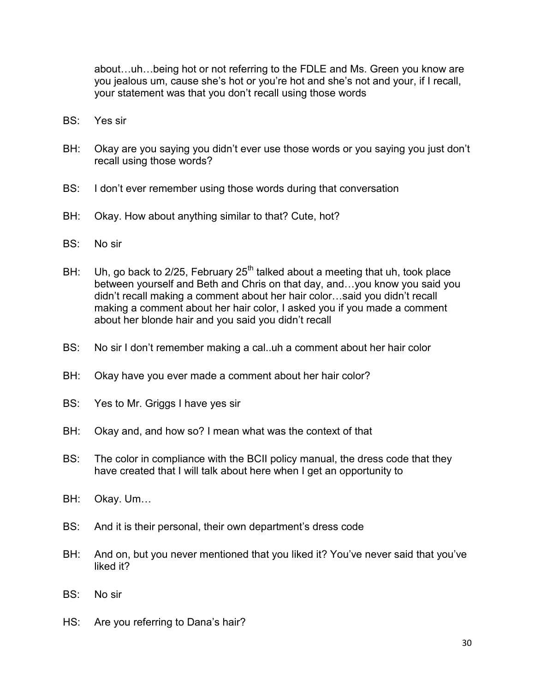about…uh…being hot or not referring to the FDLE and Ms. Green you know are you jealous um, cause she's hot or you're hot and she's not and your, if I recall, your statement was that you don't recall using those words

- BS: Yes sir
- BH: Okay are you saying you didn't ever use those words or you saying you just don't recall using those words?
- BS: I don't ever remember using those words during that conversation
- BH: Okay. How about anything similar to that? Cute, hot?
- BS: No sir
- BH: Uh, go back to 2/25, February  $25<sup>th</sup>$  talked about a meeting that uh, took place between yourself and Beth and Chris on that day, and…you know you said you didn't recall making a comment about her hair color…said you didn't recall making a comment about her hair color, I asked you if you made a comment about her blonde hair and you said you didn't recall
- BS: No sir I don't remember making a cal..uh a comment about her hair color
- BH: Okay have you ever made a comment about her hair color?
- BS: Yes to Mr. Griggs I have yes sir
- BH: Okay and, and how so? I mean what was the context of that
- BS: The color in compliance with the BCII policy manual, the dress code that they have created that I will talk about here when I get an opportunity to
- BH: Okay. Um…
- BS: And it is their personal, their own department's dress code
- BH: And on, but you never mentioned that you liked it? You've never said that you've liked it?
- BS: No sir
- HS: Are you referring to Dana's hair?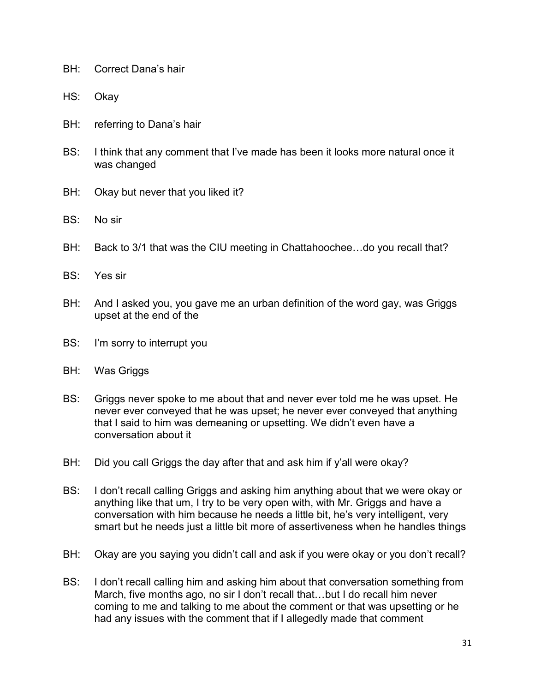- BH: Correct Dana's hair
- HS: Okay
- BH: referring to Dana's hair
- BS: I think that any comment that I've made has been it looks more natural once it was changed
- BH: Okay but never that you liked it?
- BS: No sir
- BH: Back to 3/1 that was the CIU meeting in Chattahoochee...do you recall that?
- BS: Yes sir
- BH: And I asked you, you gave me an urban definition of the word gay, was Griggs upset at the end of the
- BS: I'm sorry to interrupt you
- BH: Was Griggs
- BS: Griggs never spoke to me about that and never ever told me he was upset. He never ever conveyed that he was upset; he never ever conveyed that anything that I said to him was demeaning or upsetting. We didn't even have a conversation about it
- BH: Did you call Griggs the day after that and ask him if y'all were okay?
- BS: I don't recall calling Griggs and asking him anything about that we were okay or anything like that um, I try to be very open with, with Mr. Griggs and have a conversation with him because he needs a little bit, he's very intelligent, very smart but he needs just a little bit more of assertiveness when he handles things
- BH: Okay are you saying you didn't call and ask if you were okay or you don't recall?
- BS: I don't recall calling him and asking him about that conversation something from March, five months ago, no sir I don't recall that…but I do recall him never coming to me and talking to me about the comment or that was upsetting or he had any issues with the comment that if I allegedly made that comment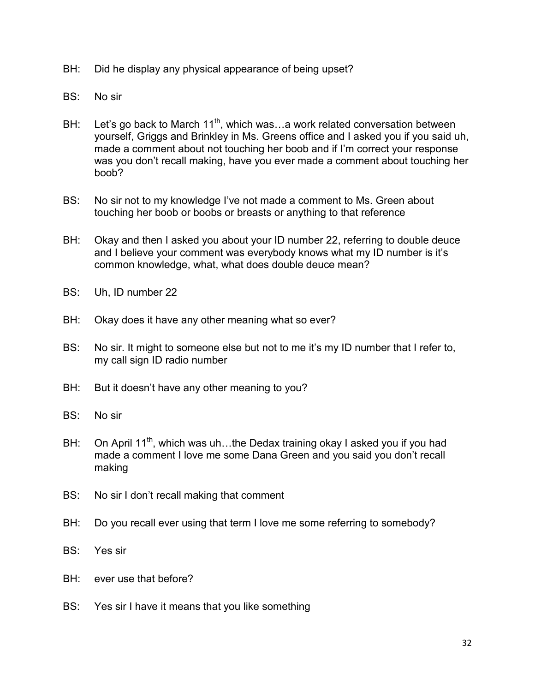- BH: Did he display any physical appearance of being upset?
- BS: No sir
- BH: Let's go back to March  $11^{th}$ , which was...a work related conversation between yourself, Griggs and Brinkley in Ms. Greens office and I asked you if you said uh, made a comment about not touching her boob and if I'm correct your response was you don't recall making, have you ever made a comment about touching her boob?
- BS: No sir not to my knowledge I've not made a comment to Ms. Green about touching her boob or boobs or breasts or anything to that reference
- BH: Okay and then I asked you about your ID number 22, referring to double deuce and I believe your comment was everybody knows what my ID number is it's common knowledge, what, what does double deuce mean?
- BS: Uh, ID number 22
- BH: Okay does it have any other meaning what so ever?
- BS: No sir. It might to someone else but not to me it's my ID number that I refer to, my call sign ID radio number
- BH: But it doesn't have any other meaning to you?
- BS: No sir
- BH: On April 11<sup>th</sup>, which was uh...the Dedax training okay I asked you if you had made a comment I love me some Dana Green and you said you don't recall making
- BS: No sir I don't recall making that comment
- BH: Do you recall ever using that term I love me some referring to somebody?
- BS: Yes sir
- BH: ever use that before?
- BS: Yes sir I have it means that you like something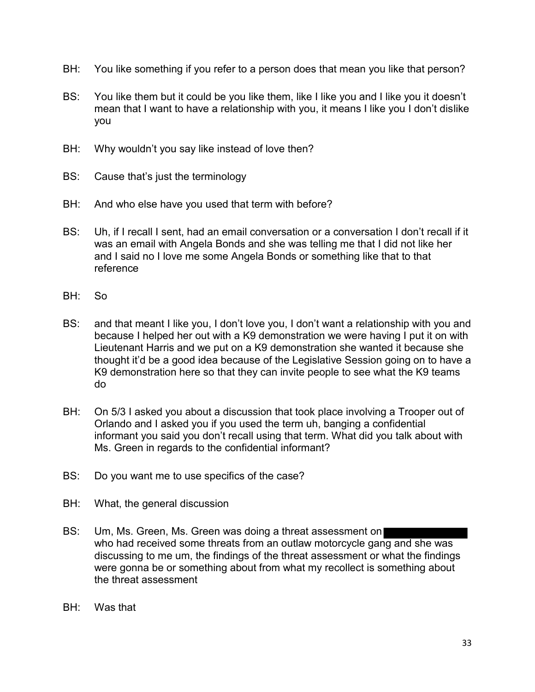- BH: You like something if you refer to a person does that mean you like that person?
- BS: You like them but it could be you like them, like I like you and I like you it doesn't mean that I want to have a relationship with you, it means I like you I don't dislike you
- BH: Why wouldn't you say like instead of love then?
- BS: Cause that's just the terminology
- BH: And who else have you used that term with before?
- BS: Uh, if I recall I sent, had an email conversation or a conversation I don't recall if it was an email with Angela Bonds and she was telling me that I did not like her and I said no I love me some Angela Bonds or something like that to that reference
- BH: So
- BS: and that meant I like you, I don't love you, I don't want a relationship with you and because I helped her out with a K9 demonstration we were having I put it on with Lieutenant Harris and we put on a K9 demonstration she wanted it because she thought it'd be a good idea because of the Legislative Session going on to have a K9 demonstration here so that they can invite people to see what the K9 teams do
- BH: On 5/3 I asked you about a discussion that took place involving a Trooper out of Orlando and I asked you if you used the term uh, banging a confidential informant you said you don't recall using that term. What did you talk about with Ms. Green in regards to the confidential informant?
- BS: Do you want me to use specifics of the case?
- BH: What, the general discussion
- BS: Um, Ms. Green, Ms. Green was doing a threat assessment on who had received some threats from an outlaw motorcycle gang and she was discussing to me um, the findings of the threat assessment or what the findings were gonna be or something about from what my recollect is something about the threat assessment
- BH: Was that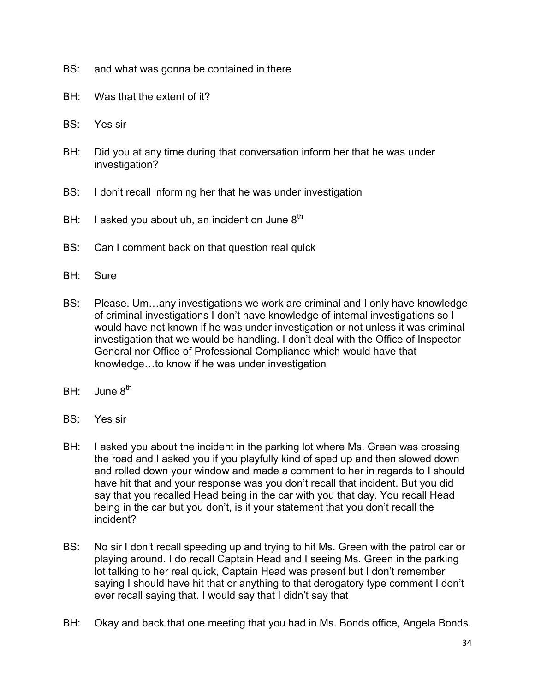- BS: and what was gonna be contained in there
- BH: Was that the extent of it?
- BS: Yes sir
- BH: Did you at any time during that conversation inform her that he was under investigation?
- BS: I don't recall informing her that he was under investigation
- BH: I asked you about uh, an incident on June  $8<sup>th</sup>$
- BS: Can I comment back on that question real quick
- BH: Sure
- BS: Please. Um…any investigations we work are criminal and I only have knowledge of criminal investigations I don't have knowledge of internal investigations so I would have not known if he was under investigation or not unless it was criminal investigation that we would be handling. I don't deal with the Office of Inspector General nor Office of Professional Compliance which would have that knowledge…to know if he was under investigation
- BH: June 8<sup>th</sup>
- BS: Yes sir
- BH: I asked you about the incident in the parking lot where Ms. Green was crossing the road and I asked you if you playfully kind of sped up and then slowed down and rolled down your window and made a comment to her in regards to I should have hit that and your response was you don't recall that incident. But you did say that you recalled Head being in the car with you that day. You recall Head being in the car but you don't, is it your statement that you don't recall the incident?
- BS: No sir I don't recall speeding up and trying to hit Ms. Green with the patrol car or playing around. I do recall Captain Head and I seeing Ms. Green in the parking lot talking to her real quick, Captain Head was present but I don't remember saying I should have hit that or anything to that derogatory type comment I don't ever recall saying that. I would say that I didn't say that
- BH: Okay and back that one meeting that you had in Ms. Bonds office, Angela Bonds.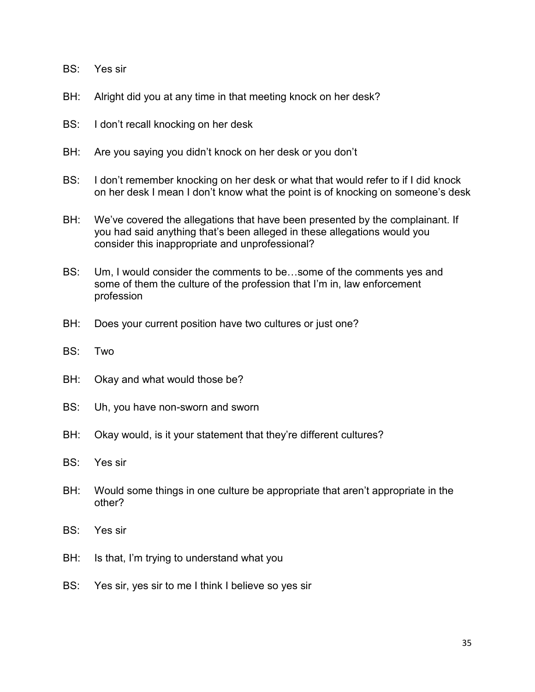- BS: Yes sir
- BH: Alright did you at any time in that meeting knock on her desk?
- BS: I don't recall knocking on her desk
- BH: Are you saying you didn't knock on her desk or you don't
- BS: I don't remember knocking on her desk or what that would refer to if I did knock on her desk I mean I don't know what the point is of knocking on someone's desk
- BH: We've covered the allegations that have been presented by the complainant. If you had said anything that's been alleged in these allegations would you consider this inappropriate and unprofessional?
- BS: Um, I would consider the comments to be…some of the comments yes and some of them the culture of the profession that I'm in, law enforcement profession
- BH: Does your current position have two cultures or just one?
- BS: Two
- BH: Okay and what would those be?
- BS: Uh, you have non-sworn and sworn
- BH: Okay would, is it your statement that they're different cultures?
- BS: Yes sir
- BH: Would some things in one culture be appropriate that aren't appropriate in the other?
- BS: Yes sir
- BH: Is that, I'm trying to understand what you
- BS: Yes sir, yes sir to me I think I believe so yes sir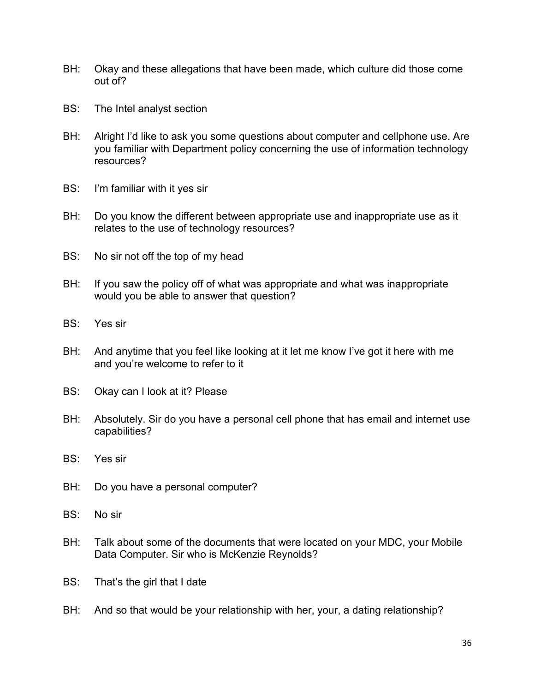- BH: Okay and these allegations that have been made, which culture did those come out of?
- BS: The Intel analyst section
- BH: Alright I'd like to ask you some questions about computer and cellphone use. Are you familiar with Department policy concerning the use of information technology resources?
- BS: I'm familiar with it yes sir
- BH: Do you know the different between appropriate use and inappropriate use as it relates to the use of technology resources?
- BS: No sir not off the top of my head
- BH: If you saw the policy off of what was appropriate and what was inappropriate would you be able to answer that question?
- BS: Yes sir
- BH: And anytime that you feel like looking at it let me know I've got it here with me and you're welcome to refer to it
- BS: Okay can I look at it? Please
- BH: Absolutely. Sir do you have a personal cell phone that has email and internet use capabilities?
- BS: Yes sir
- BH: Do you have a personal computer?
- BS: No sir
- BH: Talk about some of the documents that were located on your MDC, your Mobile Data Computer. Sir who is McKenzie Reynolds?
- BS: That's the girl that I date
- BH: And so that would be your relationship with her, your, a dating relationship?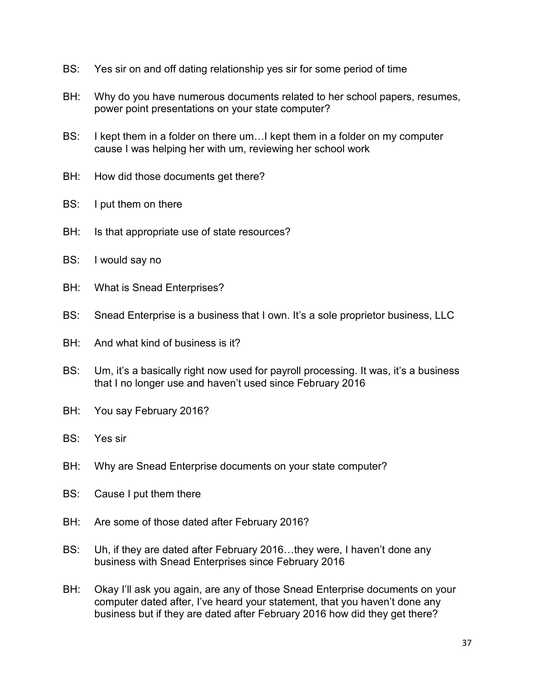- BS: Yes sir on and off dating relationship yes sir for some period of time
- BH: Why do you have numerous documents related to her school papers, resumes, power point presentations on your state computer?
- BS: I kept them in a folder on there um…I kept them in a folder on my computer cause I was helping her with um, reviewing her school work
- BH: How did those documents get there?
- BS: I put them on there
- BH: Is that appropriate use of state resources?
- BS: I would say no
- BH: What is Snead Enterprises?
- BS: Snead Enterprise is a business that I own. It's a sole proprietor business, LLC
- BH: And what kind of business is it?
- BS: Um, it's a basically right now used for payroll processing. It was, it's a business that I no longer use and haven't used since February 2016
- BH: You say February 2016?
- BS: Yes sir
- BH: Why are Snead Enterprise documents on your state computer?
- BS: Cause I put them there
- BH: Are some of those dated after February 2016?
- BS: Uh, if they are dated after February 2016…they were, I haven't done any business with Snead Enterprises since February 2016
- BH: Okay I'll ask you again, are any of those Snead Enterprise documents on your computer dated after, I've heard your statement, that you haven't done any business but if they are dated after February 2016 how did they get there?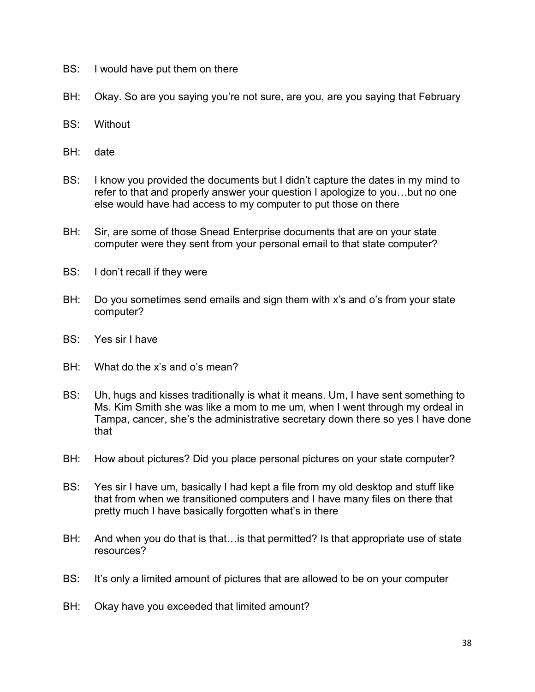- BS: I would have put them on there
- BH: Okay. So are you saying you're not sure, are you, are you saying that February
- BS: Without
- BH: date
- BS: I know you provided the documents but I didn't capture the dates in my mind to refer to that and properly answer your question I apologize to you…but no one else would have had access to my computer to put those on there
- BH: Sir, are some of those Snead Enterprise documents that are on your state computer were they sent from your personal email to that state computer?
- BS: I don't recall if they were
- BH: Do you sometimes send emails and sign them with x's and o's from your state computer?
- BS: Yes sir I have
- BH: What do the x's and o's mean?
- BS: Uh, hugs and kisses traditionally is what it means. Um, I have sent something to Ms. Kim Smith she was like a mom to me um, when I went through my ordeal in Tampa, cancer, she's the administrative secretary down there so yes I have done that
- BH: How about pictures? Did you place personal pictures on your state computer?
- BS: Yes sir I have um, basically I had kept a file from my old desktop and stuff like that from when we transitioned computers and I have many files on there that pretty much I have basically forgotten what's in there
- BH: And when you do that is that... is that permitted? Is that appropriate use of state resources?
- BS: It's only a limited amount of pictures that are allowed to be on your computer
- BH: Okay have you exceeded that limited amount?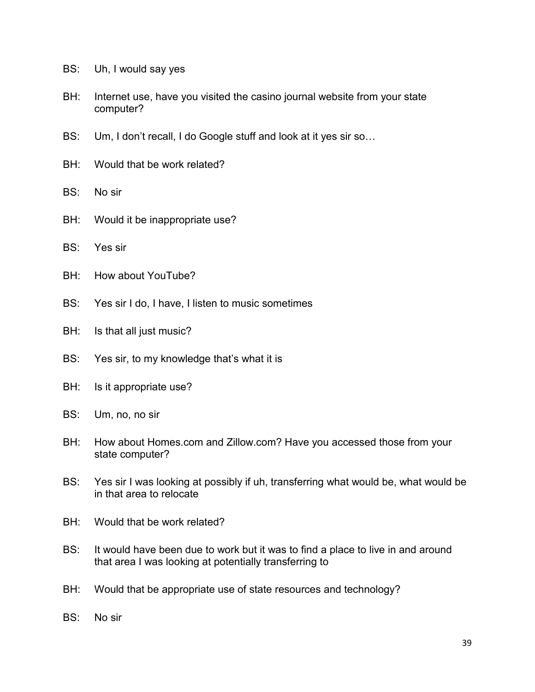- BS: Uh, I would say yes
- BH: Internet use, have you visited the casino journal website from your state computer?
- BS: Um, I don't recall, I do Google stuff and look at it yes sir so…
- BH: Would that be work related?
- BS: No sir
- BH: Would it be inappropriate use?
- BS: Yes sir
- BH: How about YouTube?
- BS: Yes sir I do, I have, I listen to music sometimes
- BH: Is that all just music?
- BS: Yes sir, to my knowledge that's what it is
- BH: Is it appropriate use?
- BS: Um, no, no sir
- BH: How about Homes.com and Zillow.com? Have you accessed those from your state computer?
- BS: Yes sir I was looking at possibly if uh, transferring what would be, what would be in that area to relocate
- BH: Would that be work related?
- BS: It would have been due to work but it was to find a place to live in and around that area I was looking at potentially transferring to
- BH: Would that be appropriate use of state resources and technology?
- BS: No sir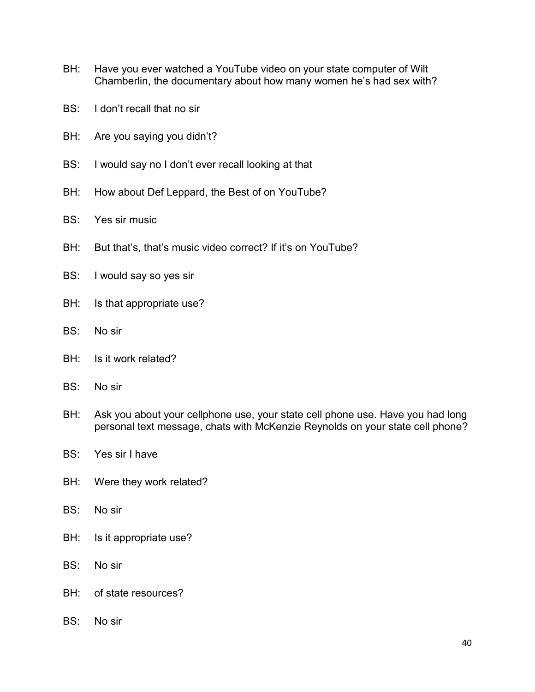- BH: Have you ever watched a YouTube video on your state computer of Wilt Chamberlin, the documentary about how many women he's had sex with?
- BS: I don't recall that no sir
- BH: Are you saying you didn't?
- BS: I would say no I don't ever recall looking at that
- BH: How about Def Leppard, the Best of on YouTube?
- BS: Yes sir music
- BH: But that's, that's music video correct? If it's on YouTube?
- BS: I would say so yes sir
- BH: Is that appropriate use?
- BS: No sir
- BH: Is it work related?
- BS: No sir
- BH: Ask you about your cellphone use, your state cell phone use. Have you had long personal text message, chats with McKenzie Reynolds on your state cell phone?
- BS: Yes sir I have
- BH: Were they work related?
- BS: No sir
- BH: Is it appropriate use?
- BS: No sir
- BH: of state resources?
- BS: No sir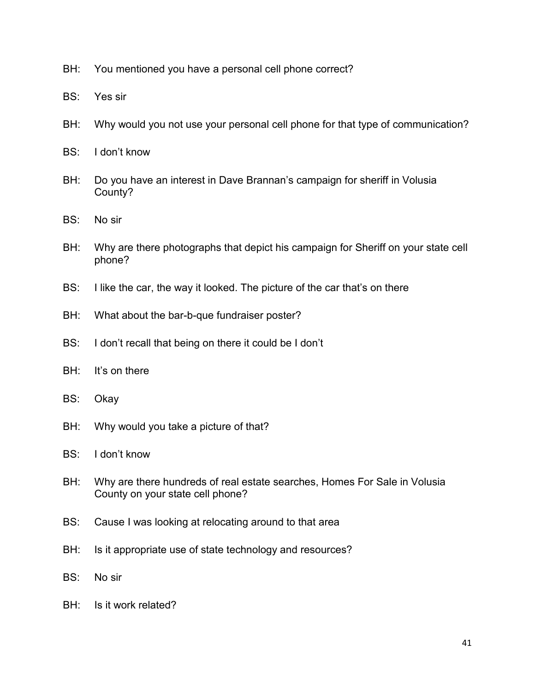- BH: You mentioned you have a personal cell phone correct?
- BS: Yes sir
- BH: Why would you not use your personal cell phone for that type of communication?
- BS: I don't know
- BH: Do you have an interest in Dave Brannan's campaign for sheriff in Volusia County?
- BS: No sir
- BH: Why are there photographs that depict his campaign for Sheriff on your state cell phone?
- BS: I like the car, the way it looked. The picture of the car that's on there
- BH: What about the bar-b-que fundraiser poster?
- BS: I don't recall that being on there it could be I don't
- BH: It's on there
- BS: Okay
- BH: Why would you take a picture of that?
- BS: I don't know
- BH: Why are there hundreds of real estate searches, Homes For Sale in Volusia County on your state cell phone?
- BS: Cause I was looking at relocating around to that area
- BH: Is it appropriate use of state technology and resources?
- BS: No sir
- BH: Is it work related?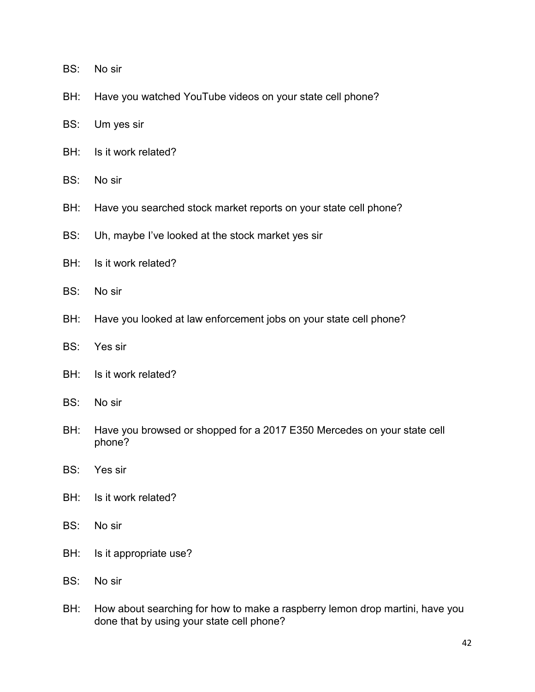- BS: No sir
- BH: Have you watched YouTube videos on your state cell phone?
- BS: Um yes sir
- BH: Is it work related?
- BS: No sir
- BH: Have you searched stock market reports on your state cell phone?
- BS: Uh, maybe I've looked at the stock market yes sir
- BH: Is it work related?
- BS: No sir
- BH: Have you looked at law enforcement jobs on your state cell phone?
- BS: Yes sir
- BH: Is it work related?
- BS: No sir
- BH: Have you browsed or shopped for a 2017 E350 Mercedes on your state cell phone?
- BS: Yes sir
- BH: Is it work related?
- BS: No sir
- BH: Is it appropriate use?
- BS: No sir
- BH: How about searching for how to make a raspberry lemon drop martini, have you done that by using your state cell phone?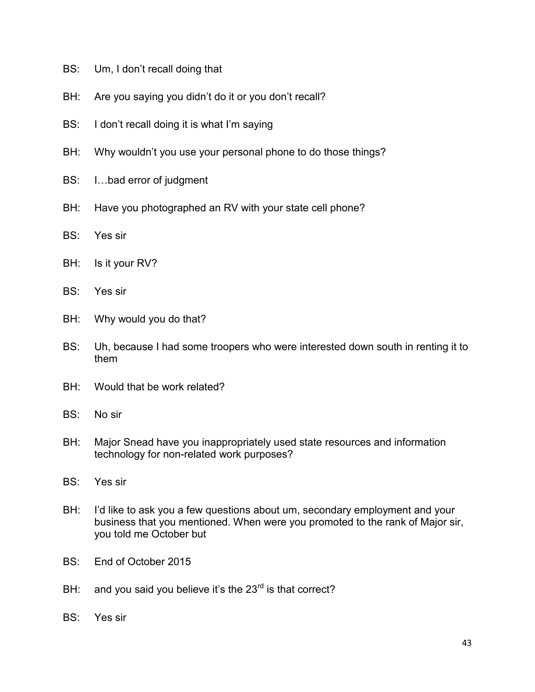- BS: Um, I don't recall doing that
- BH: Are you saying you didn't do it or you don't recall?
- BS: I don't recall doing it is what I'm saying
- BH: Why wouldn't you use your personal phone to do those things?
- BS: I…bad error of judgment
- BH: Have you photographed an RV with your state cell phone?
- BS: Yes sir
- BH: Is it your RV?
- BS: Yes sir
- BH: Why would you do that?
- BS: Uh, because I had some troopers who were interested down south in renting it to them
- BH: Would that be work related?
- BS: No sir
- BH: Major Snead have you inappropriately used state resources and information technology for non-related work purposes?
- BS: Yes sir
- BH: I'd like to ask you a few questions about um, secondary employment and your business that you mentioned. When were you promoted to the rank of Major sir, you told me October but
- BS: End of October 2015
- BH: and you said you believe it's the  $23<sup>rd</sup>$  is that correct?
- BS: Yes sir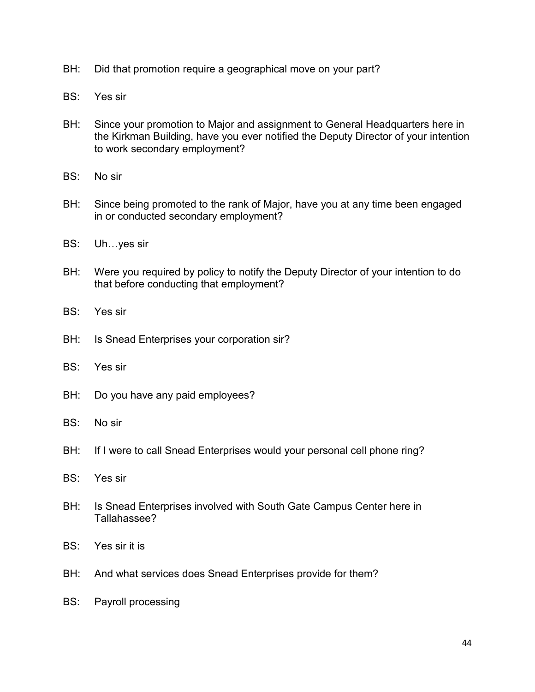- BH: Did that promotion require a geographical move on your part?
- BS: Yes sir
- BH: Since your promotion to Major and assignment to General Headquarters here in the Kirkman Building, have you ever notified the Deputy Director of your intention to work secondary employment?
- BS: No sir
- BH: Since being promoted to the rank of Major, have you at any time been engaged in or conducted secondary employment?
- BS: Uh…yes sir
- BH: Were you required by policy to notify the Deputy Director of your intention to do that before conducting that employment?
- BS: Yes sir
- BH: Is Snead Enterprises your corporation sir?
- BS: Yes sir
- BH: Do you have any paid employees?
- BS: No sir
- BH: If I were to call Snead Enterprises would your personal cell phone ring?
- BS: Yes sir
- BH: Is Snead Enterprises involved with South Gate Campus Center here in Tallahassee?
- BS: Yes sir it is
- BH: And what services does Snead Enterprises provide for them?
- BS: Payroll processing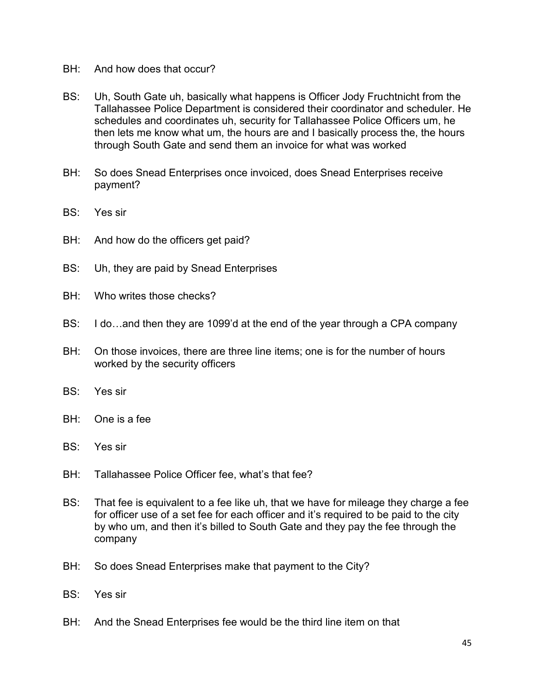- BH: And how does that occur?
- BS: Uh, South Gate uh, basically what happens is Officer Jody Fruchtnicht from the Tallahassee Police Department is considered their coordinator and scheduler. He schedules and coordinates uh, security for Tallahassee Police Officers um, he then lets me know what um, the hours are and I basically process the, the hours through South Gate and send them an invoice for what was worked
- BH: So does Snead Enterprises once invoiced, does Snead Enterprises receive payment?
- BS: Yes sir
- BH: And how do the officers get paid?
- BS: Uh, they are paid by Snead Enterprises
- BH: Who writes those checks?
- BS: I do…and then they are 1099'd at the end of the year through a CPA company
- BH: On those invoices, there are three line items; one is for the number of hours worked by the security officers
- BS: Yes sir
- BH: One is a fee
- BS: Yes sir
- BH: Tallahassee Police Officer fee, what's that fee?
- BS: That fee is equivalent to a fee like uh, that we have for mileage they charge a fee for officer use of a set fee for each officer and it's required to be paid to the city by who um, and then it's billed to South Gate and they pay the fee through the company
- BH: So does Snead Enterprises make that payment to the City?
- BS: Yes sir
- BH: And the Snead Enterprises fee would be the third line item on that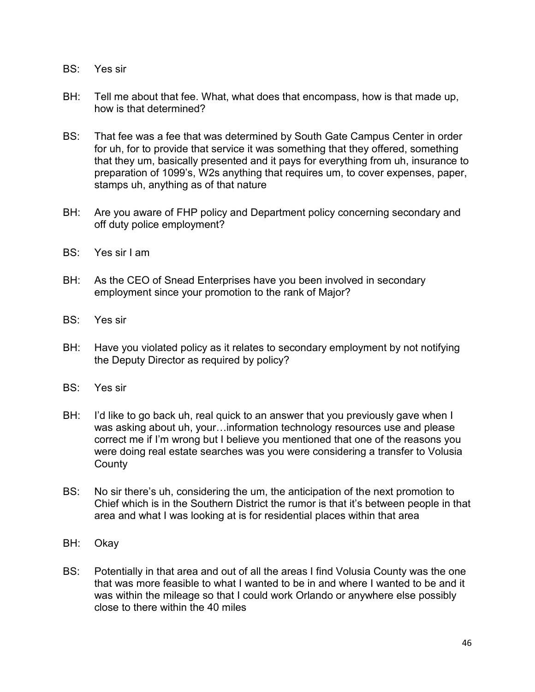- BS: Yes sir
- BH: Tell me about that fee. What, what does that encompass, how is that made up, how is that determined?
- BS: That fee was a fee that was determined by South Gate Campus Center in order for uh, for to provide that service it was something that they offered, something that they um, basically presented and it pays for everything from uh, insurance to preparation of 1099's, W2s anything that requires um, to cover expenses, paper, stamps uh, anything as of that nature
- BH: Are you aware of FHP policy and Department policy concerning secondary and off duty police employment?
- BS: Yes sir I am
- BH: As the CEO of Snead Enterprises have you been involved in secondary employment since your promotion to the rank of Major?
- BS: Yes sir
- BH: Have you violated policy as it relates to secondary employment by not notifying the Deputy Director as required by policy?
- BS: Yes sir
- BH: I'd like to go back uh, real quick to an answer that you previously gave when I was asking about uh, your…information technology resources use and please correct me if I'm wrong but I believe you mentioned that one of the reasons you were doing real estate searches was you were considering a transfer to Volusia **County**
- BS: No sir there's uh, considering the um, the anticipation of the next promotion to Chief which is in the Southern District the rumor is that it's between people in that area and what I was looking at is for residential places within that area
- BH: Okay
- BS: Potentially in that area and out of all the areas I find Volusia County was the one that was more feasible to what I wanted to be in and where I wanted to be and it was within the mileage so that I could work Orlando or anywhere else possibly close to there within the 40 miles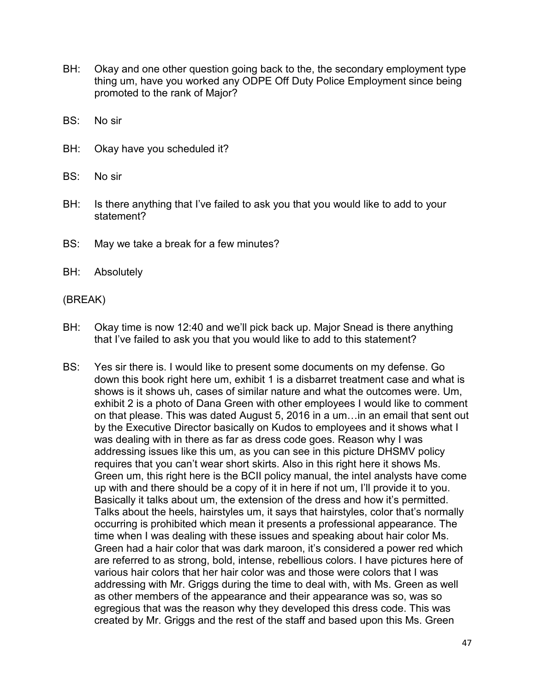- BH: Okay and one other question going back to the, the secondary employment type thing um, have you worked any ODPE Off Duty Police Employment since being promoted to the rank of Major?
- BS: No sir
- BH: Okay have you scheduled it?
- BS: No sir
- BH: Is there anything that I've failed to ask you that you would like to add to your statement?
- BS: May we take a break for a few minutes?
- BH: Absolutely

(BREAK)

- BH: Okay time is now 12:40 and we'll pick back up. Major Snead is there anything that I've failed to ask you that you would like to add to this statement?
- BS: Yes sir there is. I would like to present some documents on my defense. Go down this book right here um, exhibit 1 is a disbarret treatment case and what is shows is it shows uh, cases of similar nature and what the outcomes were. Um, exhibit 2 is a photo of Dana Green with other employees I would like to comment on that please. This was dated August 5, 2016 in a um…in an email that sent out by the Executive Director basically on Kudos to employees and it shows what I was dealing with in there as far as dress code goes. Reason why I was addressing issues like this um, as you can see in this picture DHSMV policy requires that you can't wear short skirts. Also in this right here it shows Ms. Green um, this right here is the BCII policy manual, the intel analysts have come up with and there should be a copy of it in here if not um, I'll provide it to you. Basically it talks about um, the extension of the dress and how it's permitted. Talks about the heels, hairstyles um, it says that hairstyles, color that's normally occurring is prohibited which mean it presents a professional appearance. The time when I was dealing with these issues and speaking about hair color Ms. Green had a hair color that was dark maroon, it's considered a power red which are referred to as strong, bold, intense, rebellious colors. I have pictures here of various hair colors that her hair color was and those were colors that I was addressing with Mr. Griggs during the time to deal with, with Ms. Green as well as other members of the appearance and their appearance was so, was so egregious that was the reason why they developed this dress code. This was created by Mr. Griggs and the rest of the staff and based upon this Ms. Green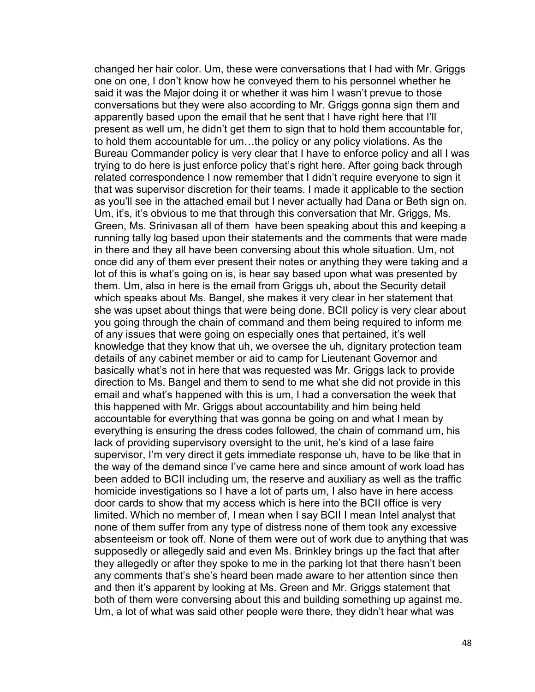changed her hair color. Um, these were conversations that I had with Mr. Griggs one on one, I don't know how he conveyed them to his personnel whether he said it was the Major doing it or whether it was him I wasn't prevue to those conversations but they were also according to Mr. Griggs gonna sign them and apparently based upon the email that he sent that I have right here that I'll present as well um, he didn't get them to sign that to hold them accountable for, to hold them accountable for um…the policy or any policy violations. As the Bureau Commander policy is very clear that I have to enforce policy and all I was trying to do here is just enforce policy that's right here. After going back through related correspondence I now remember that I didn't require everyone to sign it that was supervisor discretion for their teams. I made it applicable to the section as you'll see in the attached email but I never actually had Dana or Beth sign on. Um, it's, it's obvious to me that through this conversation that Mr. Griggs, Ms. Green, Ms. Srinivasan all of them have been speaking about this and keeping a running tally log based upon their statements and the comments that were made in there and they all have been conversing about this whole situation. Um, not once did any of them ever present their notes or anything they were taking and a lot of this is what's going on is, is hear say based upon what was presented by them. Um, also in here is the email from Griggs uh, about the Security detail which speaks about Ms. Bangel, she makes it very clear in her statement that she was upset about things that were being done. BCII policy is very clear about you going through the chain of command and them being required to inform me of any issues that were going on especially ones that pertained, it's well knowledge that they know that uh, we oversee the uh, dignitary protection team details of any cabinet member or aid to camp for Lieutenant Governor and basically what's not in here that was requested was Mr. Griggs lack to provide direction to Ms. Bangel and them to send to me what she did not provide in this email and what's happened with this is um, I had a conversation the week that this happened with Mr. Griggs about accountability and him being held accountable for everything that was gonna be going on and what I mean by everything is ensuring the dress codes followed, the chain of command um, his lack of providing supervisory oversight to the unit, he's kind of a lase faire supervisor, I'm very direct it gets immediate response uh, have to be like that in the way of the demand since I've came here and since amount of work load has been added to BCII including um, the reserve and auxiliary as well as the traffic homicide investigations so I have a lot of parts um, I also have in here access door cards to show that my access which is here into the BCII office is very limited. Which no member of, I mean when I say BCII I mean Intel analyst that none of them suffer from any type of distress none of them took any excessive absenteeism or took off. None of them were out of work due to anything that was supposedly or allegedly said and even Ms. Brinkley brings up the fact that after they allegedly or after they spoke to me in the parking lot that there hasn't been any comments that's she's heard been made aware to her attention since then and then it's apparent by looking at Ms. Green and Mr. Griggs statement that both of them were conversing about this and building something up against me. Um, a lot of what was said other people were there, they didn't hear what was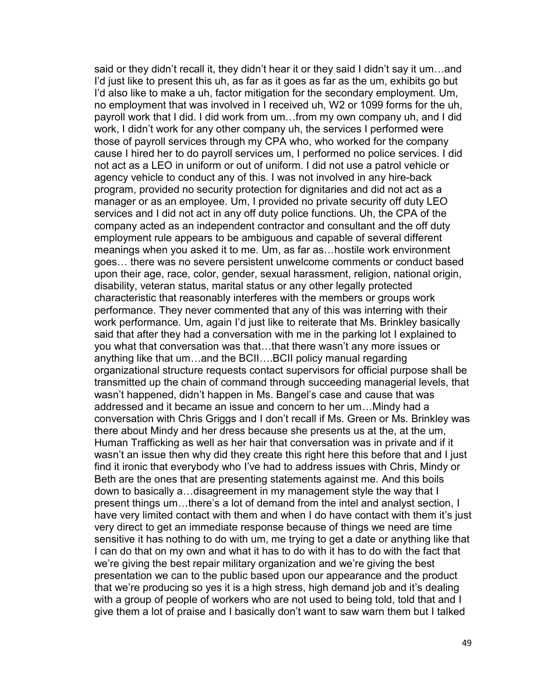said or they didn't recall it, they didn't hear it or they said I didn't say it um…and I'd just like to present this uh, as far as it goes as far as the um, exhibits go but I'd also like to make a uh, factor mitigation for the secondary employment. Um, no employment that was involved in I received uh, W2 or 1099 forms for the uh, payroll work that I did. I did work from um…from my own company uh, and I did work, I didn't work for any other company uh, the services I performed were those of payroll services through my CPA who, who worked for the company cause I hired her to do payroll services um, I performed no police services. I did not act as a LEO in uniform or out of uniform. I did not use a patrol vehicle or agency vehicle to conduct any of this. I was not involved in any hire-back program, provided no security protection for dignitaries and did not act as a manager or as an employee. Um, I provided no private security off duty LEO services and I did not act in any off duty police functions. Uh, the CPA of the company acted as an independent contractor and consultant and the off duty employment rule appears to be ambiguous and capable of several different meanings when you asked it to me. Um, as far as…hostile work environment goes… there was no severe persistent unwelcome comments or conduct based upon their age, race, color, gender, sexual harassment, religion, national origin, disability, veteran status, marital status or any other legally protected characteristic that reasonably interferes with the members or groups work performance. They never commented that any of this was interring with their work performance. Um, again I'd just like to reiterate that Ms. Brinkley basically said that after they had a conversation with me in the parking lot I explained to you what that conversation was that…that there wasn't any more issues or anything like that um…and the BCII….BCII policy manual regarding organizational structure requests contact supervisors for official purpose shall be transmitted up the chain of command through succeeding managerial levels, that wasn't happened, didn't happen in Ms. Bangel's case and cause that was addressed and it became an issue and concern to her um…Mindy had a conversation with Chris Griggs and I don't recall if Ms. Green or Ms. Brinkley was there about Mindy and her dress because she presents us at the, at the um, Human Trafficking as well as her hair that conversation was in private and if it wasn't an issue then why did they create this right here this before that and I just find it ironic that everybody who I've had to address issues with Chris, Mindy or Beth are the ones that are presenting statements against me. And this boils down to basically a…disagreement in my management style the way that I present things um…there's a lot of demand from the intel and analyst section, I have very limited contact with them and when I do have contact with them it's just very direct to get an immediate response because of things we need are time sensitive it has nothing to do with um, me trying to get a date or anything like that I can do that on my own and what it has to do with it has to do with the fact that we're giving the best repair military organization and we're giving the best presentation we can to the public based upon our appearance and the product that we're producing so yes it is a high stress, high demand job and it's dealing with a group of people of workers who are not used to being told, told that and I give them a lot of praise and I basically don't want to saw warn them but I talked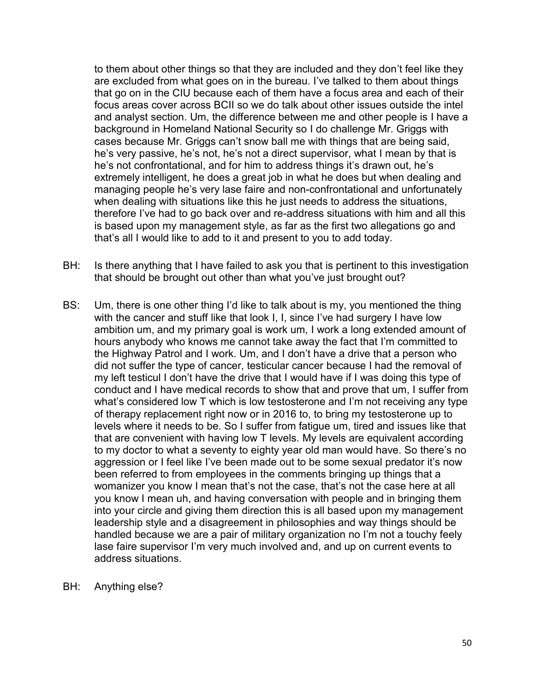to them about other things so that they are included and they don't feel like they are excluded from what goes on in the bureau. I've talked to them about things that go on in the CIU because each of them have a focus area and each of their focus areas cover across BCII so we do talk about other issues outside the intel and analyst section. Um, the difference between me and other people is I have a background in Homeland National Security so I do challenge Mr. Griggs with cases because Mr. Griggs can't snow ball me with things that are being said, he's very passive, he's not, he's not a direct supervisor, what I mean by that is he's not confrontational, and for him to address things it's drawn out, he's extremely intelligent, he does a great job in what he does but when dealing and managing people he's very lase faire and non-confrontational and unfortunately when dealing with situations like this he just needs to address the situations, therefore I've had to go back over and re-address situations with him and all this is based upon my management style, as far as the first two allegations go and that's all I would like to add to it and present to you to add today.

- BH: Is there anything that I have failed to ask you that is pertinent to this investigation that should be brought out other than what you've just brought out?
- BS: Um, there is one other thing I'd like to talk about is my, you mentioned the thing with the cancer and stuff like that look I, I, since I've had surgery I have low ambition um, and my primary goal is work um, I work a long extended amount of hours anybody who knows me cannot take away the fact that I'm committed to the Highway Patrol and I work. Um, and I don't have a drive that a person who did not suffer the type of cancer, testicular cancer because I had the removal of my left testicul I don't have the drive that I would have if I was doing this type of conduct and I have medical records to show that and prove that um, I suffer from what's considered low T which is low testosterone and I'm not receiving any type of therapy replacement right now or in 2016 to, to bring my testosterone up to levels where it needs to be. So I suffer from fatigue um, tired and issues like that that are convenient with having low T levels. My levels are equivalent according to my doctor to what a seventy to eighty year old man would have. So there's no aggression or I feel like I've been made out to be some sexual predator it's now been referred to from employees in the comments bringing up things that a womanizer you know I mean that's not the case, that's not the case here at all you know I mean uh, and having conversation with people and in bringing them into your circle and giving them direction this is all based upon my management leadership style and a disagreement in philosophies and way things should be handled because we are a pair of military organization no I'm not a touchy feely lase faire supervisor I'm very much involved and, and up on current events to address situations.
- BH: Anything else?